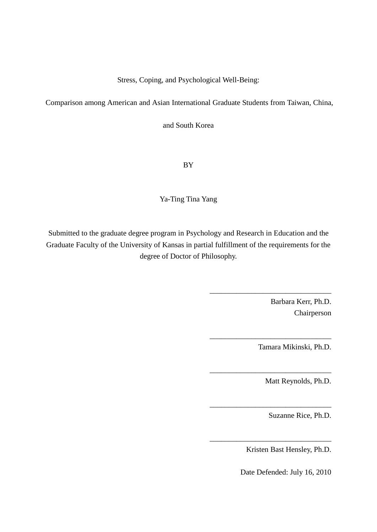Stress, Coping, and Psychological Well-Being:

Comparison among American and Asian International Graduate Students from Taiwan, China,

and South Korea

BY

Ya-Ting Tina Yang

Submitted to the graduate degree program in Psychology and Research in Education and the Graduate Faculty of the University of Kansas in partial fulfillment of the requirements for the degree of Doctor of Philosophy.

> Barbara Kerr, Ph.D. Chairperson

\_\_\_\_\_\_\_\_\_\_\_\_\_\_\_\_\_\_\_\_\_\_\_\_\_\_\_\_\_\_\_\_

\_\_\_\_\_\_\_\_\_\_\_\_\_\_\_\_\_\_\_\_\_\_\_\_\_\_\_\_\_\_\_\_

\_\_\_\_\_\_\_\_\_\_\_\_\_\_\_\_\_\_\_\_\_\_\_\_\_\_\_\_\_\_\_\_

\_\_\_\_\_\_\_\_\_\_\_\_\_\_\_\_\_\_\_\_\_\_\_\_\_\_\_\_\_\_\_\_

\_\_\_\_\_\_\_\_\_\_\_\_\_\_\_\_\_\_\_\_\_\_\_\_\_\_\_\_\_\_\_\_

Tamara Mikinski, Ph.D.

Matt Reynolds, Ph.D.

Suzanne Rice, Ph.D.

Kristen Bast Hensley, Ph.D.

Date Defended: July 16, 2010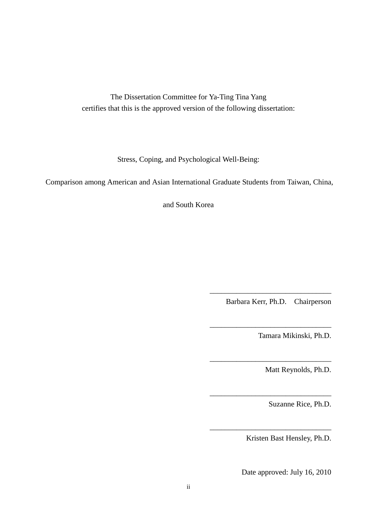The Dissertation Committee for Ya-Ting Tina Yang certifies that this is the approved version of the following dissertation:

Stress, Coping, and Psychological Well-Being:

Comparison among American and Asian International Graduate Students from Taiwan, China,

and South Korea

Barbara Kerr, Ph.D. Chairperson

\_\_\_\_\_\_\_\_\_\_\_\_\_\_\_\_\_\_\_\_\_\_\_\_\_\_\_\_\_\_\_\_

\_\_\_\_\_\_\_\_\_\_\_\_\_\_\_\_\_\_\_\_\_\_\_\_\_\_\_\_\_\_\_\_

\_\_\_\_\_\_\_\_\_\_\_\_\_\_\_\_\_\_\_\_\_\_\_\_\_\_\_\_\_\_\_\_

\_\_\_\_\_\_\_\_\_\_\_\_\_\_\_\_\_\_\_\_\_\_\_\_\_\_\_\_\_\_\_\_

 $\overline{\phantom{a}}$  ,  $\overline{\phantom{a}}$  ,  $\overline{\phantom{a}}$  ,  $\overline{\phantom{a}}$  ,  $\overline{\phantom{a}}$  ,  $\overline{\phantom{a}}$  ,  $\overline{\phantom{a}}$  ,  $\overline{\phantom{a}}$  ,  $\overline{\phantom{a}}$  ,  $\overline{\phantom{a}}$  ,  $\overline{\phantom{a}}$  ,  $\overline{\phantom{a}}$  ,  $\overline{\phantom{a}}$  ,  $\overline{\phantom{a}}$  ,  $\overline{\phantom{a}}$  ,  $\overline{\phantom{a}}$ 

Tamara Mikinski, Ph.D.

Matt Reynolds, Ph.D.

Suzanne Rice, Ph.D.

Kristen Bast Hensley, Ph.D.

Date approved: July 16, 2010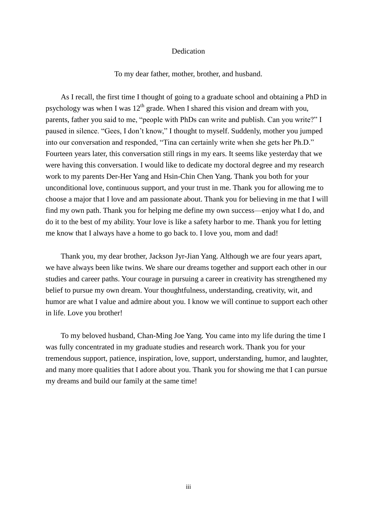### Dedication

To my dear father, mother, brother, and husband.

As I recall, the first time I thought of going to a graduate school and obtaining a PhD in psychology was when I was  $12<sup>th</sup>$  grade. When I shared this vision and dream with you, parents, father you said to me, "people with PhDs can write and publish. Can you write?" I paused in silence. "Gees, I don't know," I thought to myself. Suddenly, mother you jumped into our conversation and responded, "Tina can certainly write when she gets her Ph.D." Fourteen years later, this conversation still rings in my ears. It seems like yesterday that we were having this conversation. I would like to dedicate my doctoral degree and my research work to my parents Der-Her Yang and Hsin-Chin Chen Yang. Thank you both for your unconditional love, continuous support, and your trust in me. Thank you for allowing me to choose a major that I love and am passionate about. Thank you for believing in me that I will find my own path. Thank you for helping me define my own success—enjoy what I do, and do it to the best of my ability. Your love is like a safety harbor to me. Thank you for letting me know that I always have a home to go back to. I love you, mom and dad!

Thank you, my dear brother, Jackson Jyr-Jian Yang. Although we are four years apart, we have always been like twins. We share our dreams together and support each other in our studies and career paths. Your courage in pursuing a career in creativity has strengthened my belief to pursue my own dream. Your thoughtfulness, understanding, creativity, wit, and humor are what I value and admire about you. I know we will continue to support each other in life. Love you brother!

To my beloved husband, Chan-Ming Joe Yang. You came into my life during the time I was fully concentrated in my graduate studies and research work. Thank you for your tremendous support, patience, inspiration, love, support, understanding, humor, and laughter, and many more qualities that I adore about you. Thank you for showing me that I can pursue my dreams and build our family at the same time!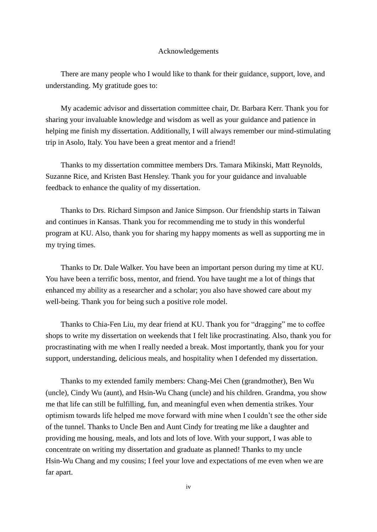### Acknowledgements

There are many people who I would like to thank for their guidance, support, love, and understanding. My gratitude goes to:

My academic advisor and dissertation committee chair, Dr. Barbara Kerr. Thank you for sharing your invaluable knowledge and wisdom as well as your guidance and patience in helping me finish my dissertation. Additionally, I will always remember our mind-stimulating trip in Asolo, Italy. You have been a great mentor and a friend!

Thanks to my dissertation committee members Drs. Tamara Mikinski, Matt Reynolds, Suzanne Rice, and Kristen Bast Hensley. Thank you for your guidance and invaluable feedback to enhance the quality of my dissertation.

Thanks to Drs. Richard Simpson and Janice Simpson. Our friendship starts in Taiwan and continues in Kansas. Thank you for recommending me to study in this wonderful program at KU. Also, thank you for sharing my happy moments as well as supporting me in my trying times.

Thanks to Dr. Dale Walker. You have been an important person during my time at KU. You have been a terrific boss, mentor, and friend. You have taught me a lot of things that enhanced my ability as a researcher and a scholar; you also have showed care about my well-being. Thank you for being such a positive role model.

Thanks to Chia-Fen Liu, my dear friend at KU. Thank you for "dragging" me to coffee shops to write my dissertation on weekends that I felt like procrastinating. Also, thank you for procrastinating with me when I really needed a break. Most importantly, thank you for your support, understanding, delicious meals, and hospitality when I defended my dissertation.

Thanks to my extended family members: Chang-Mei Chen (grandmother), Ben Wu (uncle), Cindy Wu (aunt), and Hsin-Wu Chang (uncle) and his children. Grandma, you show me that life can still be fulfilling, fun, and meaningful even when dementia strikes. Your optimism towards life helped me move forward with mine when I couldn't see the other side of the tunnel. Thanks to Uncle Ben and Aunt Cindy for treating me like a daughter and providing me housing, meals, and lots and lots of love. With your support, I was able to concentrate on writing my dissertation and graduate as planned! Thanks to my uncle Hsin-Wu Chang and my cousins; I feel your love and expectations of me even when we are far apart.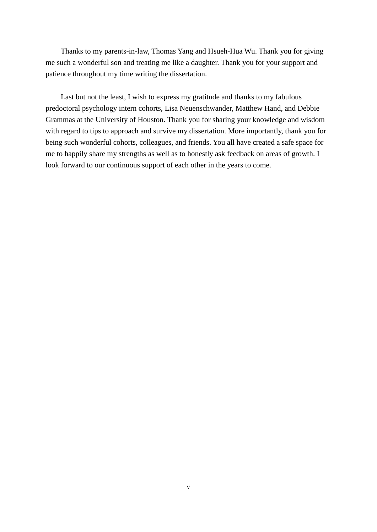Thanks to my parents-in-law, Thomas Yang and Hsueh-Hua Wu. Thank you for giving me such a wonderful son and treating me like a daughter. Thank you for your support and patience throughout my time writing the dissertation.

Last but not the least, I wish to express my gratitude and thanks to my fabulous predoctoral psychology intern cohorts, Lisa Neuenschwander, Matthew Hand, and Debbie Grammas at the University of Houston. Thank you for sharing your knowledge and wisdom with regard to tips to approach and survive my dissertation. More importantly, thank you for being such wonderful cohorts, colleagues, and friends. You all have created a safe space for me to happily share my strengths as well as to honestly ask feedback on areas of growth. I look forward to our continuous support of each other in the years to come.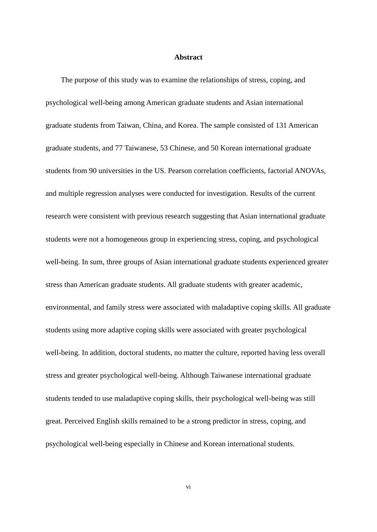### **Abstract**

The purpose of this study was to examine the relationships of stress, coping, and psychological well-being among American graduate students and Asian international graduate students from Taiwan, China, and Korea. The sample consisted of 131 American graduate students, and 77 Taiwanese, 53 Chinese, and 50 Korean international graduate students from 90 universities in the US. Pearson correlation coefficients, factorial ANOVAs, and multiple regression analyses were conducted for investigation. Results of the current research were consistent with previous research suggesting that Asian international graduate students were not a homogeneous group in experiencing stress, coping, and psychological well-being. In sum, three groups of Asian international graduate students experienced greater stress than American graduate students. All graduate students with greater academic, environmental, and family stress were associated with maladaptive coping skills. All graduate students using more adaptive coping skills were associated with greater psychological well-being. In addition, doctoral students, no matter the culture, reported having less overall stress and greater psychological well-being. Although Taiwanese international graduate students tended to use maladaptive coping skills, their psychological well-being was still great. Perceived English skills remained to be a strong predictor in stress, coping, and psychological well-being especially in Chinese and Korean international students.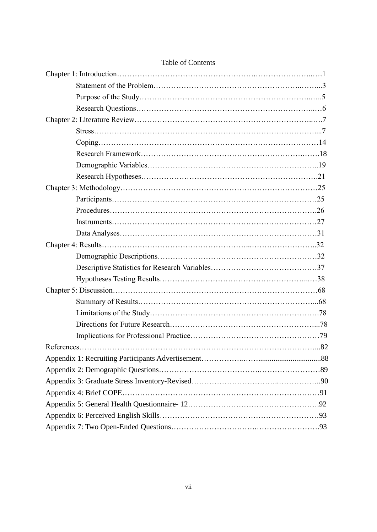## Table of Contents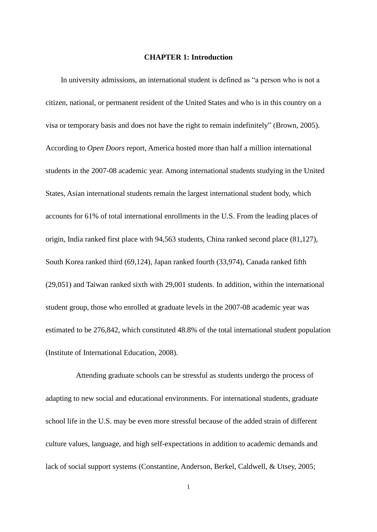#### **CHAPTER 1: Introduction**

In university admissions, an international student is defined as "a person who is not a citizen, national, or permanent resident of the United States and who is in this country on a visa or temporary basis and does not have the right to remain indefinitely" (Brown, 2005). According to *Open Doors* report, America hosted more than half a million international students in the 2007-08 academic year. Among international students studying in the United States, Asian international students remain the largest international student body, which accounts for 61% of total international enrollments in the U.S. From the leading places of origin, India ranked first place with 94,563 students, China ranked second place (81,127), South Korea ranked third (69,124), Japan ranked fourth (33,974), Canada ranked fifth (29,051) and Taiwan ranked sixth with 29,001 students. In addition, within the international student group, those who enrolled at graduate levels in the 2007-08 academic year was estimated to be 276,842, which constituted 48.8% of the total international student population (Institute of International Education, 2008).

Attending graduate schools can be stressful as students undergo the process of adapting to new social and educational environments. For international students, graduate school life in the U.S. may be even more stressful because of the added strain of different culture values, language, and high self-expectations in addition to academic demands and lack of social support systems (Constantine, Anderson, Berkel, Caldwell, & Utsey, 2005;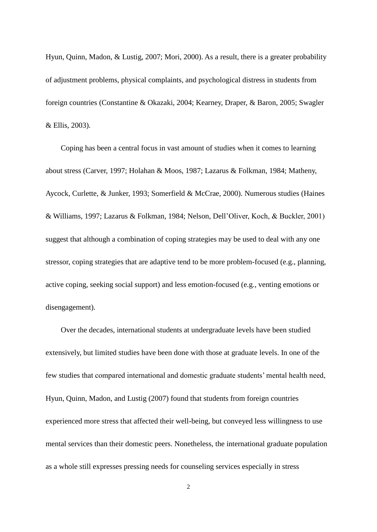Hyun, Quinn, Madon, & Lustig, 2007; Mori, 2000). As a result, there is a greater probability of adjustment problems, physical complaints, and psychological distress in students from foreign countries (Constantine & Okazaki, 2004; Kearney, Draper, & Baron, 2005; Swagler & Ellis, 2003).

Coping has been a central focus in vast amount of studies when it comes to learning about stress (Carver, 1997; Holahan & Moos, 1987; Lazarus & Folkman, 1984; Matheny, Aycock, Curlette, & Junker, 1993; Somerfield & McCrae, 2000). Numerous studies (Haines & Williams, 1997; Lazarus & Folkman, 1984; Nelson, Dell'Oliver, Koch, & Buckler, 2001) suggest that although a combination of coping strategies may be used to deal with any one stressor, coping strategies that are adaptive tend to be more problem-focused (e.g., planning, active coping, seeking social support) and less emotion-focused (e.g., venting emotions or disengagement).

Over the decades, international students at undergraduate levels have been studied extensively, but limited studies have been done with those at graduate levels. In one of the few studies that compared international and domestic graduate students' mental health need, Hyun, Quinn, Madon, and Lustig (2007) found that students from foreign countries experienced more stress that affected their well-being, but conveyed less willingness to use mental services than their domestic peers. Nonetheless, the international graduate population as a whole still expresses pressing needs for counseling services especially in stress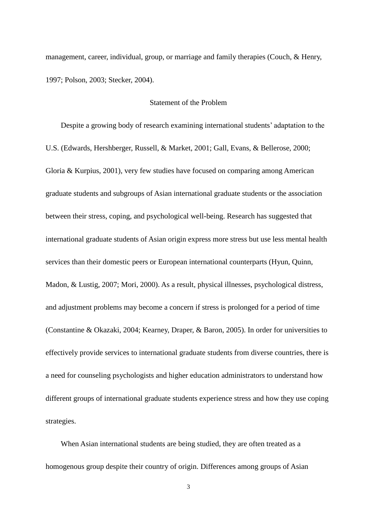management, career, individual, group, or marriage and family therapies (Couch, & Henry, 1997; Polson, 2003; Stecker, 2004).

## Statement of the Problem

Despite a growing body of research examining international students' adaptation to the U.S. (Edwards, Hershberger, Russell, & Market, 2001; Gall, Evans, & Bellerose, 2000; Gloria & Kurpius, 2001), very few studies have focused on comparing among American graduate students and subgroups of Asian international graduate students or the association between their stress, coping, and psychological well-being. Research has suggested that international graduate students of Asian origin express more stress but use less mental health services than their domestic peers or European international counterparts (Hyun, Quinn, Madon, & Lustig, 2007; Mori, 2000). As a result, physical illnesses, psychological distress, and adjustment problems may become a concern if stress is prolonged for a period of time (Constantine & Okazaki, 2004; Kearney, Draper, & Baron, 2005). In order for universities to effectively provide services to international graduate students from diverse countries, there is a need for counseling psychologists and higher education administrators to understand how different groups of international graduate students experience stress and how they use coping strategies.

When Asian international students are being studied, they are often treated as a homogenous group despite their country of origin. Differences among groups of Asian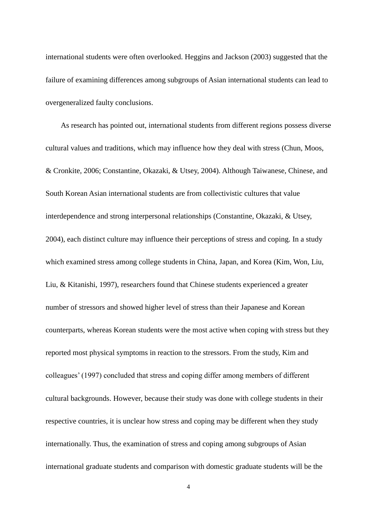international students were often overlooked. Heggins and Jackson (2003) suggested that the failure of examining differences among subgroups of Asian international students can lead to overgeneralized faulty conclusions.

As research has pointed out, international students from different regions possess diverse cultural values and traditions, which may influence how they deal with stress (Chun, Moos, & Cronkite, 2006; Constantine, Okazaki, & Utsey, 2004). Although Taiwanese, Chinese, and South Korean Asian international students are from collectivistic cultures that value interdependence and strong interpersonal relationships (Constantine, Okazaki, & Utsey, 2004), each distinct culture may influence their perceptions of stress and coping. In a study which examined stress among college students in China, Japan, and Korea (Kim, Won, Liu, Liu, & Kitanishi, 1997), researchers found that Chinese students experienced a greater number of stressors and showed higher level of stress than their Japanese and Korean counterparts, whereas Korean students were the most active when coping with stress but they reported most physical symptoms in reaction to the stressors. From the study, Kim and colleagues' (1997) concluded that stress and coping differ among members of different cultural backgrounds. However, because their study was done with college students in their respective countries, it is unclear how stress and coping may be different when they study internationally. Thus, the examination of stress and coping among subgroups of Asian international graduate students and comparison with domestic graduate students will be the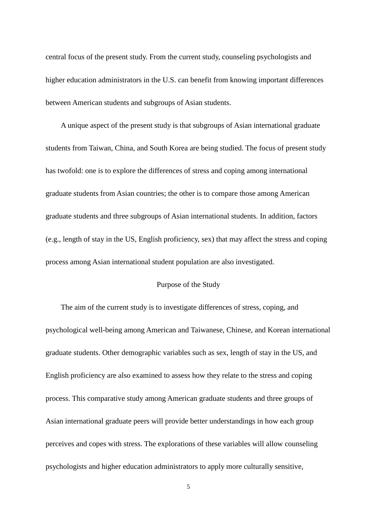central focus of the present study. From the current study, counseling psychologists and higher education administrators in the U.S. can benefit from knowing important differences between American students and subgroups of Asian students.

A unique aspect of the present study is that subgroups of Asian international graduate students from Taiwan, China, and South Korea are being studied. The focus of present study has twofold: one is to explore the differences of stress and coping among international graduate students from Asian countries; the other is to compare those among American graduate students and three subgroups of Asian international students. In addition, factors (e.g., length of stay in the US, English proficiency, sex) that may affect the stress and coping process among Asian international student population are also investigated.

## Purpose of the Study

The aim of the current study is to investigate differences of stress, coping, and psychological well-being among American and Taiwanese, Chinese, and Korean international graduate students. Other demographic variables such as sex, length of stay in the US, and English proficiency are also examined to assess how they relate to the stress and coping process. This comparative study among American graduate students and three groups of Asian international graduate peers will provide better understandings in how each group perceives and copes with stress. The explorations of these variables will allow counseling psychologists and higher education administrators to apply more culturally sensitive,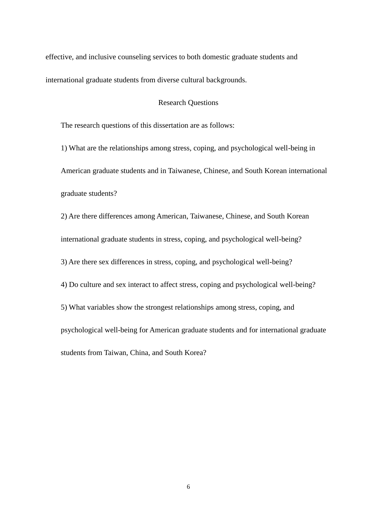effective, and inclusive counseling services to both domestic graduate students and international graduate students from diverse cultural backgrounds.

## Research Questions

The research questions of this dissertation are as follows:

1) What are the relationships among stress, coping, and psychological well-being in American graduate students and in Taiwanese, Chinese, and South Korean international graduate students?

2) Are there differences among American, Taiwanese, Chinese, and South Korean international graduate students in stress, coping, and psychological well-being? 3) Are there sex differences in stress, coping, and psychological well-being? 4) Do culture and sex interact to affect stress, coping and psychological well-being? 5) What variables show the strongest relationships among stress, coping, and psychological well-being for American graduate students and for international graduate students from Taiwan, China, and South Korea?

6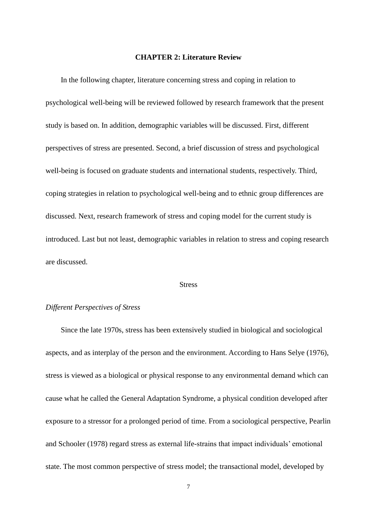#### **CHAPTER 2: Literature Review**

In the following chapter, literature concerning stress and coping in relation to psychological well-being will be reviewed followed by research framework that the present study is based on. In addition, demographic variables will be discussed. First, different perspectives of stress are presented. Second, a brief discussion of stress and psychological well-being is focused on graduate students and international students, respectively. Third, coping strategies in relation to psychological well-being and to ethnic group differences are discussed. Next, research framework of stress and coping model for the current study is introduced. Last but not least, demographic variables in relation to stress and coping research are discussed.

### **Stress**

## *Different Perspectives of Stress*

Since the late 1970s, stress has been extensively studied in biological and sociological aspects, and as interplay of the person and the environment. According to Hans Selye (1976), stress is viewed as a biological or physical response to any environmental demand which can cause what he called the General Adaptation Syndrome, a physical condition developed after exposure to a stressor for a prolonged period of time. From a sociological perspective, Pearlin and Schooler (1978) regard stress as external life-strains that impact individuals' emotional state. The most common perspective of stress model; the transactional model, developed by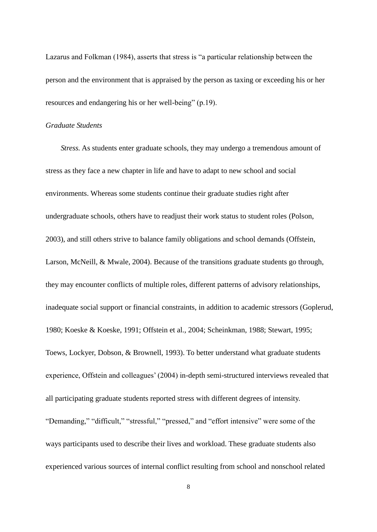Lazarus and Folkman (1984), asserts that stress is "a particular relationship between the person and the environment that is appraised by the person as taxing or exceeding his or her resources and endangering his or her well-being" (p.19).

### *Graduate Students*

*Stress.* As students enter graduate schools, they may undergo a tremendous amount of stress as they face a new chapter in life and have to adapt to new school and social environments. Whereas some students continue their graduate studies right after undergraduate schools, others have to readjust their work status to student roles (Polson, 2003), and still others strive to balance family obligations and school demands (Offstein, Larson, McNeill, & Mwale, 2004). Because of the transitions graduate students go through, they may encounter conflicts of multiple roles, different patterns of advisory relationships, inadequate social support or financial constraints, in addition to academic stressors (Goplerud, 1980; Koeske & Koeske, 1991; Offstein et al., 2004; Scheinkman, 1988; Stewart, 1995; Toews, Lockyer, Dobson, & Brownell, 1993). To better understand what graduate students experience, Offstein and colleagues' (2004) in-depth semi-structured interviews revealed that all participating graduate students reported stress with different degrees of intensity. "Demanding," "difficult," "stressful," "pressed," and "effort intensive" were some of the ways participants used to describe their lives and workload. These graduate students also experienced various sources of internal conflict resulting from school and nonschool related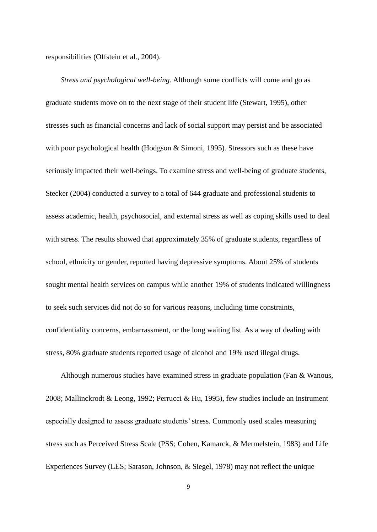responsibilities (Offstein et al., 2004).

*Stress and psychological well-being.* Although some conflicts will come and go as graduate students move on to the next stage of their student life (Stewart, 1995), other stresses such as financial concerns and lack of social support may persist and be associated with poor psychological health (Hodgson & Simoni, 1995). Stressors such as these have seriously impacted their well-beings. To examine stress and well-being of graduate students, Stecker (2004) conducted a survey to a total of 644 graduate and professional students to assess academic, health, psychosocial, and external stress as well as coping skills used to deal with stress. The results showed that approximately 35% of graduate students, regardless of school, ethnicity or gender, reported having depressive symptoms. About 25% of students sought mental health services on campus while another 19% of students indicated willingness to seek such services did not do so for various reasons, including time constraints, confidentiality concerns, embarrassment, or the long waiting list. As a way of dealing with stress, 80% graduate students reported usage of alcohol and 19% used illegal drugs.

Although numerous studies have examined stress in graduate population (Fan & Wanous, 2008; Mallinckrodt & Leong, 1992; Perrucci & Hu, 1995), few studies include an instrument especially designed to assess graduate students'stress. Commonly used scales measuring stress such as Perceived Stress Scale (PSS; Cohen, Kamarck, & Mermelstein, 1983) and Life Experiences Survey (LES; Sarason, Johnson, & Siegel, 1978) may not reflect the unique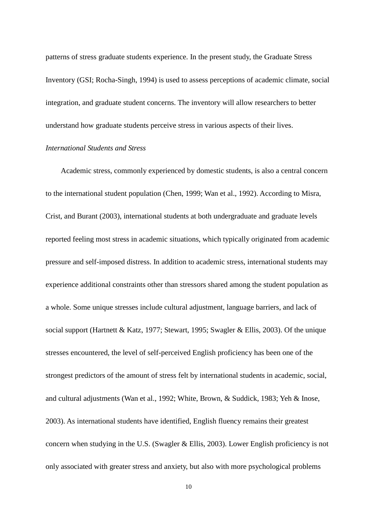patterns of stress graduate students experience. In the present study, the Graduate Stress Inventory (GSI; Rocha-Singh, 1994) is used to assess perceptions of academic climate, social integration, and graduate student concerns. The inventory will allow researchers to better understand how graduate students perceive stress in various aspects of their lives.

## *International Students and Stress*

Academic stress, commonly experienced by domestic students, is also a central concern to the international student population (Chen, 1999; Wan et al., 1992). According to Misra, Crist, and Burant (2003), international students at both undergraduate and graduate levels reported feeling most stress in academic situations, which typically originated from academic pressure and self-imposed distress. In addition to academic stress, international students may experience additional constraints other than stressors shared among the student population as a whole. Some unique stresses include cultural adjustment, language barriers, and lack of social support (Hartnett & Katz, 1977; Stewart, 1995; Swagler & Ellis, 2003). Of the unique stresses encountered, the level of self-perceived English proficiency has been one of the strongest predictors of the amount of stress felt by international students in academic, social, and cultural adjustments (Wan et al., 1992; White, Brown, & Suddick, 1983; Yeh & Inose, 2003). As international students have identified, English fluency remains their greatest concern when studying in the U.S. (Swagler & Ellis, 2003). Lower English proficiency is not only associated with greater stress and anxiety, but also with more psychological problems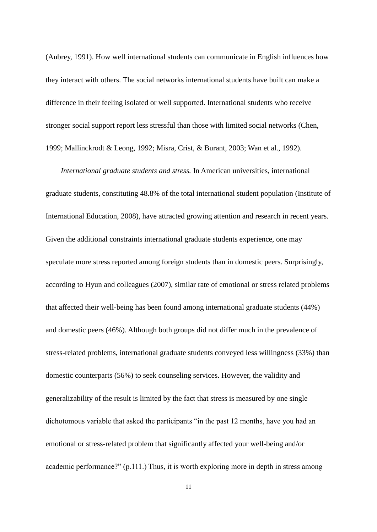(Aubrey, 1991). How well international students can communicate in English influences how they interact with others. The social networks international students have built can make a difference in their feeling isolated or well supported. International students who receive stronger social support report less stressful than those with limited social networks (Chen, 1999; Mallinckrodt & Leong, 1992; Misra, Crist, & Burant, 2003; Wan et al., 1992).

*International graduate students and stress.* In American universities, international graduate students, constituting 48.8% of the total international student population (Institute of International Education, 2008), have attracted growing attention and research in recent years. Given the additional constraints international graduate students experience, one may speculate more stress reported among foreign students than in domestic peers. Surprisingly, according to Hyun and colleagues (2007), similar rate of emotional or stress related problems that affected their well-being has been found among international graduate students (44%) and domestic peers (46%). Although both groups did not differ much in the prevalence of stress-related problems, international graduate students conveyed less willingness (33%) than domestic counterparts (56%) to seek counseling services. However, the validity and generalizability of the result is limited by the fact that stress is measured by one single dichotomous variable that asked the participants "in the past 12 months, have you had an emotional or stress-related problem that significantly affected your well-being and/or academic performance?"  $(p, 111)$ . Thus, it is worth exploring more in depth in stress among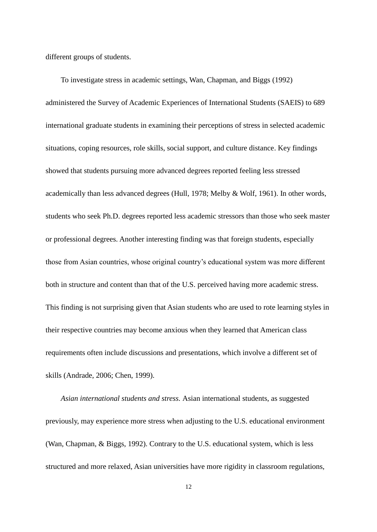different groups of students.

To investigate stress in academic settings, Wan, Chapman, and Biggs (1992) administered the Survey of Academic Experiences of International Students (SAEIS) to 689 international graduate students in examining their perceptions of stress in selected academic situations, coping resources, role skills, social support, and culture distance. Key findings showed that students pursuing more advanced degrees reported feeling less stressed academically than less advanced degrees (Hull, 1978; Melby & Wolf, 1961). In other words, students who seek Ph.D. degrees reported less academic stressors than those who seek master or professional degrees. Another interesting finding was that foreign students, especially those from Asian countries, whose original country's educational system was more different both in structure and content than that of the U.S. perceived having more academic stress. This finding is not surprising given that Asian students who are used to rote learning styles in their respective countries may become anxious when they learned that American class requirements often include discussions and presentations, which involve a different set of skills (Andrade, 2006; Chen, 1999).

*Asian international students and stress.* Asian international students, as suggested previously, may experience more stress when adjusting to the U.S. educational environment (Wan, Chapman, & Biggs, 1992). Contrary to the U.S. educational system, which is less structured and more relaxed, Asian universities have more rigidity in classroom regulations,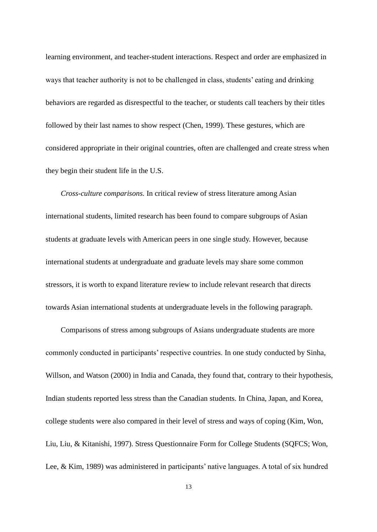learning environment, and teacher-student interactions. Respect and order are emphasized in ways that teacher authority is not to be challenged in class, students' eating and drinking behaviors are regarded as disrespectful to the teacher, or students call teachers by their titles followed by their last names to show respect (Chen, 1999). These gestures, which are considered appropriate in their original countries, often are challenged and create stress when they begin their student life in the U.S.

*Cross-culture comparisons.* In critical review of stress literature among Asian international students, limited research has been found to compare subgroups of Asian students at graduate levels with American peers in one single study. However, because international students at undergraduate and graduate levels may share some common stressors, it is worth to expand literature review to include relevant research that directs towards Asian international students at undergraduate levels in the following paragraph.

Comparisons of stress among subgroups of Asians undergraduate students are more commonly conducted in participants' respective countries. In one study conducted by Sinha, Willson, and Watson (2000) in India and Canada, they found that, contrary to their hypothesis, Indian students reported less stress than the Canadian students. In China, Japan, and Korea, college students were also compared in their level of stress and ways of coping (Kim, Won, Liu, Liu, & Kitanishi, 1997). Stress Questionnaire Form for College Students (SQFCS; Won, Lee, & Kim, 1989) was administered in participants' native languages. A total of six hundred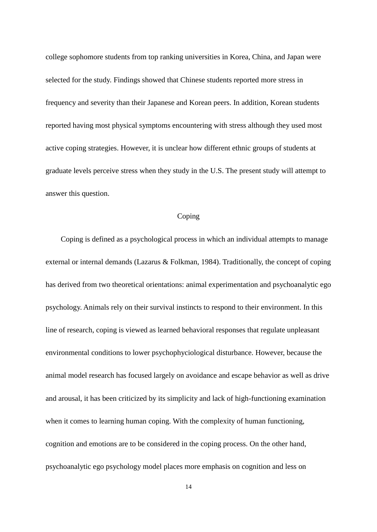college sophomore students from top ranking universities in Korea, China, and Japan were selected for the study. Findings showed that Chinese students reported more stress in frequency and severity than their Japanese and Korean peers. In addition, Korean students reported having most physical symptoms encountering with stress although they used most active coping strategies. However, it is unclear how different ethnic groups of students at graduate levels perceive stress when they study in the U.S. The present study will attempt to answer this question.

### Coping

Coping is defined as a psychological process in which an individual attempts to manage external or internal demands (Lazarus & Folkman, 1984). Traditionally, the concept of coping has derived from two theoretical orientations: animal experimentation and psychoanalytic ego psychology. Animals rely on their survival instincts to respond to their environment. In this line of research, coping is viewed as learned behavioral responses that regulate unpleasant environmental conditions to lower psychophyciological disturbance. However, because the animal model research has focused largely on avoidance and escape behavior as well as drive and arousal, it has been criticized by its simplicity and lack of high-functioning examination when it comes to learning human coping. With the complexity of human functioning, cognition and emotions are to be considered in the coping process. On the other hand, psychoanalytic ego psychology model places more emphasis on cognition and less on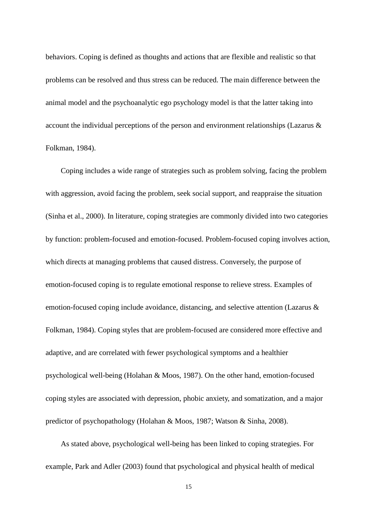behaviors. Coping is defined as thoughts and actions that are flexible and realistic so that problems can be resolved and thus stress can be reduced. The main difference between the animal model and the psychoanalytic ego psychology model is that the latter taking into account the individual perceptions of the person and environment relationships (Lazarus & Folkman, 1984).

Coping includes a wide range of strategies such as problem solving, facing the problem with aggression, avoid facing the problem, seek social support, and reappraise the situation (Sinha et al., 2000). In literature, coping strategies are commonly divided into two categories by function: problem-focused and emotion-focused. Problem-focused coping involves action, which directs at managing problems that caused distress. Conversely, the purpose of emotion-focused coping is to regulate emotional response to relieve stress. Examples of emotion-focused coping include avoidance, distancing, and selective attention (Lazarus & Folkman, 1984). Coping styles that are problem-focused are considered more effective and adaptive, and are correlated with fewer psychological symptoms and a healthier psychological well-being (Holahan & Moos, 1987). On the other hand, emotion-focused coping styles are associated with depression, phobic anxiety, and somatization, and a major predictor of psychopathology (Holahan & Moos, 1987; Watson & Sinha, 2008).

As stated above, psychological well-being has been linked to coping strategies. For example, Park and Adler (2003) found that psychological and physical health of medical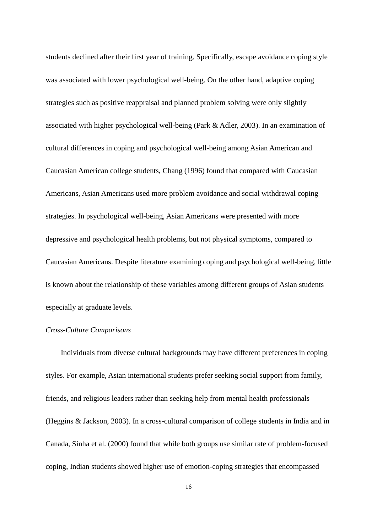students declined after their first year of training. Specifically, escape avoidance coping style was associated with lower psychological well-being. On the other hand, adaptive coping strategies such as positive reappraisal and planned problem solving were only slightly associated with higher psychological well-being (Park & Adler, 2003). In an examination of cultural differences in coping and psychological well-being among Asian American and Caucasian American college students, Chang (1996) found that compared with Caucasian Americans, Asian Americans used more problem avoidance and social withdrawal coping strategies. In psychological well-being, Asian Americans were presented with more depressive and psychological health problems, but not physical symptoms, compared to Caucasian Americans. Despite literature examining coping and psychological well-being, little is known about the relationship of these variables among different groups of Asian students especially at graduate levels.

# *Cross-Culture Comparisons*

Individuals from diverse cultural backgrounds may have different preferences in coping styles. For example, Asian international students prefer seeking social support from family, friends, and religious leaders rather than seeking help from mental health professionals (Heggins & Jackson, 2003). In a cross-cultural comparison of college students in India and in Canada, Sinha et al. (2000) found that while both groups use similar rate of problem-focused coping, Indian students showed higher use of emotion-coping strategies that encompassed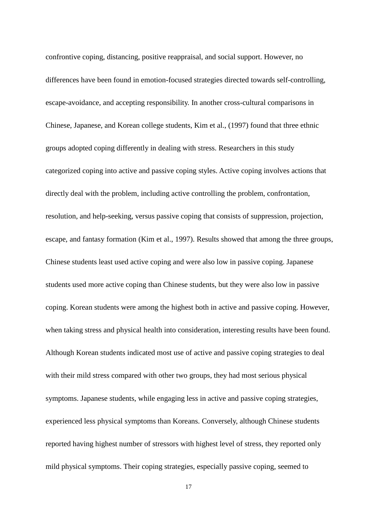confrontive coping, distancing, positive reappraisal, and social support. However, no differences have been found in emotion-focused strategies directed towards self-controlling, escape-avoidance, and accepting responsibility. In another cross-cultural comparisons in Chinese, Japanese, and Korean college students, Kim et al., (1997) found that three ethnic groups adopted coping differently in dealing with stress. Researchers in this study categorized coping into active and passive coping styles. Active coping involves actions that directly deal with the problem, including active controlling the problem, confrontation, resolution, and help-seeking, versus passive coping that consists of suppression, projection, escape, and fantasy formation (Kim et al., 1997). Results showed that among the three groups, Chinese students least used active coping and were also low in passive coping. Japanese students used more active coping than Chinese students, but they were also low in passive coping. Korean students were among the highest both in active and passive coping. However, when taking stress and physical health into consideration, interesting results have been found. Although Korean students indicated most use of active and passive coping strategies to deal with their mild stress compared with other two groups, they had most serious physical symptoms. Japanese students, while engaging less in active and passive coping strategies, experienced less physical symptoms than Koreans. Conversely, although Chinese students reported having highest number of stressors with highest level of stress, they reported only mild physical symptoms. Their coping strategies, especially passive coping, seemed to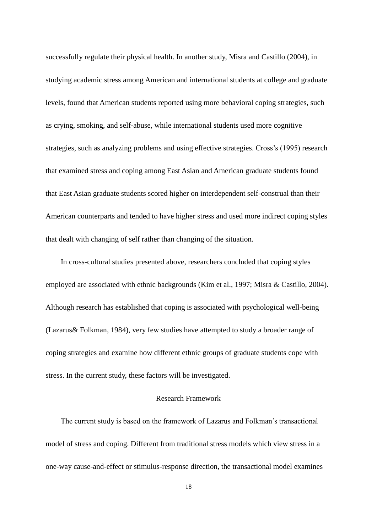successfully regulate their physical health. In another study, Misra and Castillo (2004), in studying academic stress among American and international students at college and graduate levels, found that American students reported using more behavioral coping strategies, such as crying, smoking, and self-abuse, while international students used more cognitive strategies, such as analyzing problems and using effective strategies. Cross's (1995) research that examined stress and coping among East Asian and American graduate students found that East Asian graduate students scored higher on interdependent self-construal than their American counterparts and tended to have higher stress and used more indirect coping styles that dealt with changing of self rather than changing of the situation.

In cross-cultural studies presented above, researchers concluded that coping styles employed are associated with ethnic backgrounds (Kim et al., 1997; Misra & Castillo, 2004). Although research has established that coping is associated with psychological well-being (Lazarus& Folkman, 1984), very few studies have attempted to study a broader range of coping strategies and examine how different ethnic groups of graduate students cope with stress. In the current study, these factors will be investigated.

## Research Framework

The current study is based on the framework of Lazarus and Folkman's transactional model of stress and coping. Different from traditional stress models which view stress in a one-way cause-and-effect or stimulus-response direction, the transactional model examines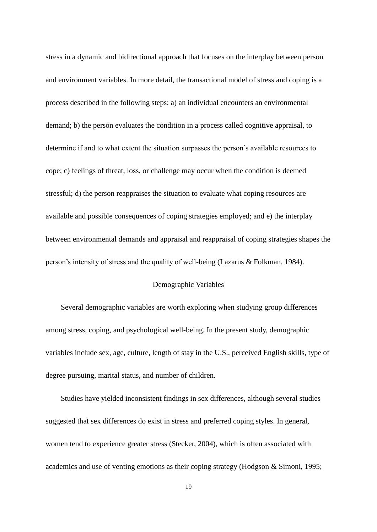stress in a dynamic and bidirectional approach that focuses on the interplay between person and environment variables. In more detail, the transactional model of stress and coping is a process described in the following steps: a) an individual encounters an environmental demand; b) the person evaluates the condition in a process called cognitive appraisal, to determine if and to what extent the situation surpasses the person's available resources to cope; c) feelings of threat, loss, or challenge may occur when the condition is deemed stressful; d) the person reappraises the situation to evaluate what coping resources are available and possible consequences of coping strategies employed; and e) the interplay between environmental demands and appraisal and reappraisal of coping strategies shapes the person's intensity of stress and the quality of well-being (Lazarus & Folkman, 1984).

# Demographic Variables

Several demographic variables are worth exploring when studying group differences among stress, coping, and psychological well-being. In the present study, demographic variables include sex, age, culture, length of stay in the U.S., perceived English skills, type of degree pursuing, marital status, and number of children.

Studies have yielded inconsistent findings in sex differences, although several studies suggested that sex differences do exist in stress and preferred coping styles. In general, women tend to experience greater stress (Stecker, 2004), which is often associated with academics and use of venting emotions as their coping strategy (Hodgson & Simoni, 1995;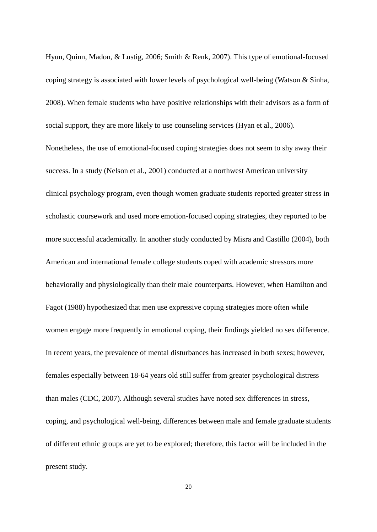Hyun, Quinn, Madon, & Lustig, 2006; Smith & Renk, 2007). This type of emotional-focused coping strategy is associated with lower levels of psychological well-being (Watson & Sinha, 2008). When female students who have positive relationships with their advisors as a form of social support, they are more likely to use counseling services (Hyan et al., 2006). Nonetheless, the use of emotional-focused coping strategies does not seem to shy away their success. In a study (Nelson et al., 2001) conducted at a northwest American university clinical psychology program, even though women graduate students reported greater stress in scholastic coursework and used more emotion-focused coping strategies, they reported to be more successful academically. In another study conducted by Misra and Castillo (2004), both American and international female college students coped with academic stressors more behaviorally and physiologically than their male counterparts. However, when Hamilton and Fagot (1988) hypothesized that men use expressive coping strategies more often while women engage more frequently in emotional coping, their findings yielded no sex difference. In recent years, the prevalence of mental disturbances has increased in both sexes; however, females especially between 18-64 years old still suffer from greater psychological distress than males (CDC, 2007). Although several studies have noted sex differences in stress, coping, and psychological well-being, differences between male and female graduate students of different ethnic groups are yet to be explored; therefore, this factor will be included in the present study.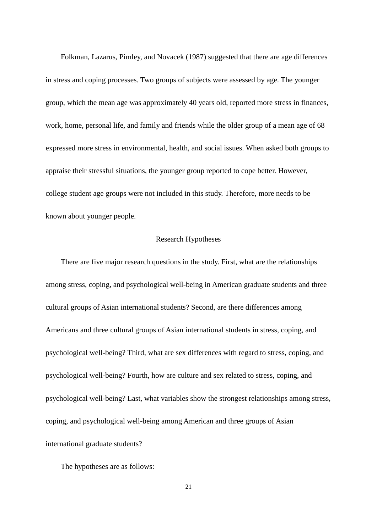Folkman, Lazarus, Pimley, and Novacek (1987) suggested that there are age differences in stress and coping processes. Two groups of subjects were assessed by age. The younger group, which the mean age was approximately 40 years old, reported more stress in finances, work, home, personal life, and family and friends while the older group of a mean age of 68 expressed more stress in environmental, health, and social issues. When asked both groups to appraise their stressful situations, the younger group reported to cope better. However, college student age groups were not included in this study. Therefore, more needs to be known about younger people.

## Research Hypotheses

There are five major research questions in the study. First, what are the relationships among stress, coping, and psychological well-being in American graduate students and three cultural groups of Asian international students? Second, are there differences among Americans and three cultural groups of Asian international students in stress, coping, and psychological well-being? Third, what are sex differences with regard to stress, coping, and psychological well-being? Fourth, how are culture and sex related to stress, coping, and psychological well-being? Last, what variables show the strongest relationships among stress, coping, and psychological well-being among American and three groups of Asian international graduate students?

The hypotheses are as follows: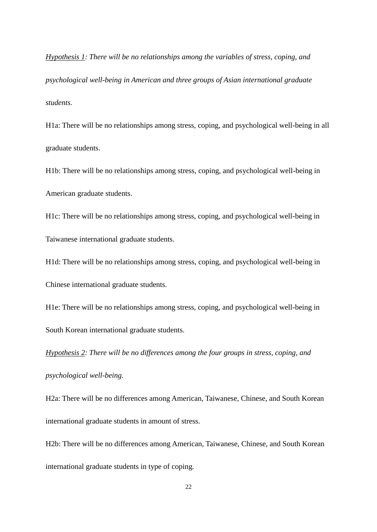*Hypothesis 1: There will be no relationships among the variables of stress, coping, and psychological well-being in American and three groups of Asian international graduate students.*

H1a: There will be no relationships among stress, coping, and psychological well-being in all graduate students.

H1b: There will be no relationships among stress, coping, and psychological well-being in American graduate students.

H1c: There will be no relationships among stress, coping, and psychological well-being in Taiwanese international graduate students.

H1d: There will be no relationships among stress, coping, and psychological well-being in Chinese international graduate students.

H1e: There will be no relationships among stress, coping, and psychological well-being in South Korean international graduate students.

*Hypothesis 2: There will be no differences among the four groups in stress, coping, and psychological well-being.* 

H2a: There will be no differences among American, Taiwanese, Chinese, and South Korean international graduate students in amount of stress.

H2b: There will be no differences among American, Taiwanese, Chinese, and South Korean international graduate students in type of coping.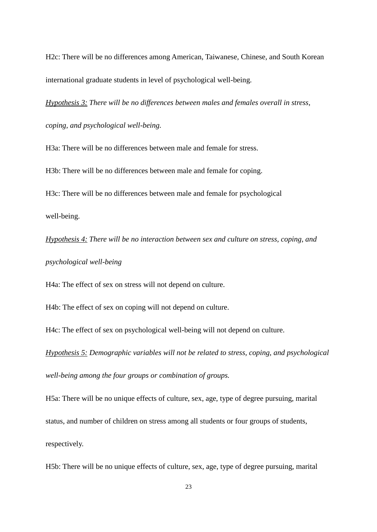H2c: There will be no differences among American, Taiwanese, Chinese, and South Korean international graduate students in level of psychological well-being.

*Hypothesis 3: There will be no differences between males and females overall in stress, coping, and psychological well-being.* 

H3a: There will be no differences between male and female for stress.

H3b: There will be no differences between male and female for coping.

H3c: There will be no differences between male and female for psychological

well-being.

*Hypothesis 4: There will be no interaction between sex and culture on stress, coping, and* 

# *psychological well-being*

H4a: The effect of sex on stress will not depend on culture.

H4b: The effect of sex on coping will not depend on culture.

H4c: The effect of sex on psychological well-being will not depend on culture.

*Hypothesis 5: Demographic variables will not be related to stress, coping, and psychological* 

*well-being among the four groups or combination of groups.*

H5a: There will be no unique effects of culture, sex, age, type of degree pursuing, marital

status, and number of children on stress among all students or four groups of students,

respectively.

H5b: There will be no unique effects of culture, sex, age, type of degree pursuing, marital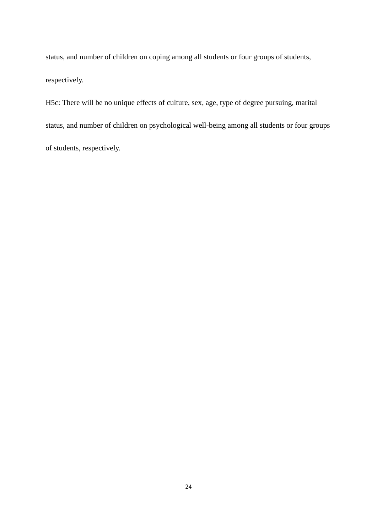status, and number of children on coping among all students or four groups of students, respectively.

H5c: There will be no unique effects of culture, sex, age, type of degree pursuing, marital status, and number of children on psychological well-being among all students or four groups of students, respectively.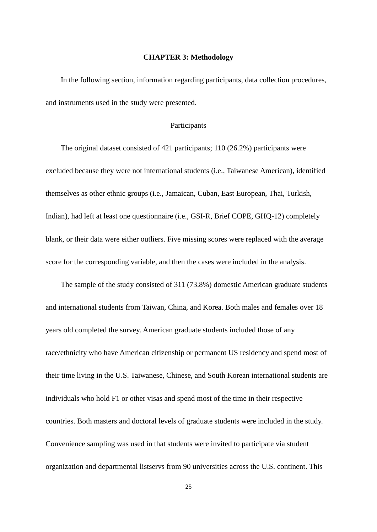#### **CHAPTER 3: Methodology**

In the following section, information regarding participants, data collection procedures, and instruments used in the study were presented.

### Participants

The original dataset consisted of 421 participants; 110 (26.2%) participants were excluded because they were not international students (i.e., Taiwanese American), identified themselves as other ethnic groups (i.e., Jamaican, Cuban, East European, Thai, Turkish, Indian), had left at least one questionnaire (i.e., GSI-R, Brief COPE, GHQ-12) completely blank, or their data were either outliers. Five missing scores were replaced with the average score for the corresponding variable, and then the cases were included in the analysis.

The sample of the study consisted of 311 (73.8%) domestic American graduate students and international students from Taiwan, China, and Korea. Both males and females over 18 years old completed the survey. American graduate students included those of any race/ethnicity who have American citizenship or permanent US residency and spend most of their time living in the U.S. Taiwanese, Chinese, and South Korean international students are individuals who hold F1 or other visas and spend most of the time in their respective countries. Both masters and doctoral levels of graduate students were included in the study. Convenience sampling was used in that students were invited to participate via student organization and departmental listservs from 90 universities across the U.S. continent. This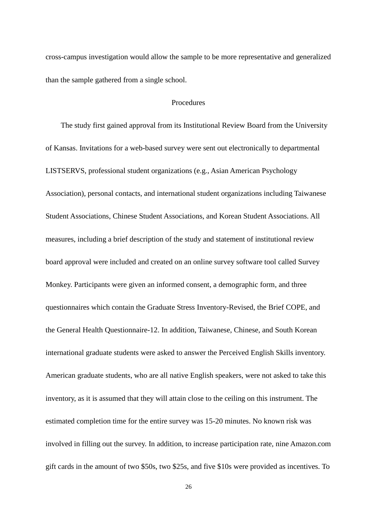cross-campus investigation would allow the sample to be more representative and generalized than the sample gathered from a single school.

### Procedures

The study first gained approval from its Institutional Review Board from the University of Kansas. Invitations for a web-based survey were sent out electronically to departmental LISTSERVS, professional student organizations (e.g., Asian American Psychology Association), personal contacts, and international student organizations including Taiwanese Student Associations, Chinese Student Associations, and Korean Student Associations. All measures, including a brief description of the study and statement of institutional review board approval were included and created on an online survey software tool called Survey Monkey. Participants were given an informed consent, a demographic form, and three questionnaires which contain the Graduate Stress Inventory-Revised, the Brief COPE, and the General Health Questionnaire-12. In addition, Taiwanese, Chinese, and South Korean international graduate students were asked to answer the Perceived English Skills inventory. American graduate students, who are all native English speakers, were not asked to take this inventory, as it is assumed that they will attain close to the ceiling on this instrument. The estimated completion time for the entire survey was 15-20 minutes. No known risk was involved in filling out the survey. In addition, to increase participation rate, nine Amazon.com gift cards in the amount of two \$50s, two \$25s, and five \$10s were provided as incentives. To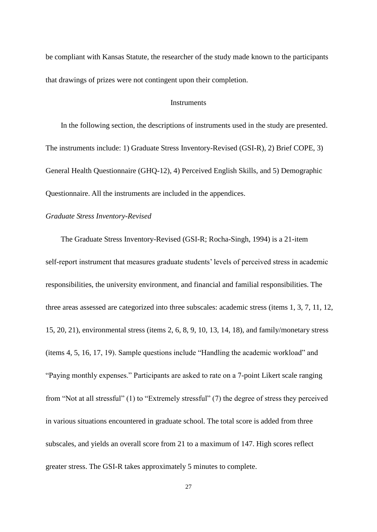be compliant with Kansas Statute, the researcher of the study made known to the participants that drawings of prizes were not contingent upon their completion.

### **Instruments**

In the following section, the descriptions of instruments used in the study are presented. The instruments include: 1) Graduate Stress Inventory-Revised (GSI-R), 2) Brief COPE, 3) General Health Questionnaire (GHQ-12), 4) Perceived English Skills, and 5) Demographic Questionnaire. All the instruments are included in the appendices.

### *Graduate Stress Inventory-Revised*

The Graduate Stress Inventory-Revised (GSI-R; Rocha-Singh, 1994) is a 21-item self-report instrument that measures graduate students' levels of perceived stress in academic responsibilities, the university environment, and financial and familial responsibilities. The three areas assessed are categorized into three subscales: academic stress (items 1, 3, 7, 11, 12, 15, 20, 21), environmental stress (items 2, 6, 8, 9, 10, 13, 14, 18), and family/monetary stress (items  $4, 5, 16, 17, 19$ ). Sample questions include "Handling the academic workload" and "Paying monthly expenses." Participants are asked to rate on a 7-point Likert scale ranging from "Not at all stressful" (1) to "Extremely stressful" (7) the degree of stress they perceived in various situations encountered in graduate school. The total score is added from three subscales, and yields an overall score from 21 to a maximum of 147. High scores reflect greater stress. The GSI-R takes approximately 5 minutes to complete.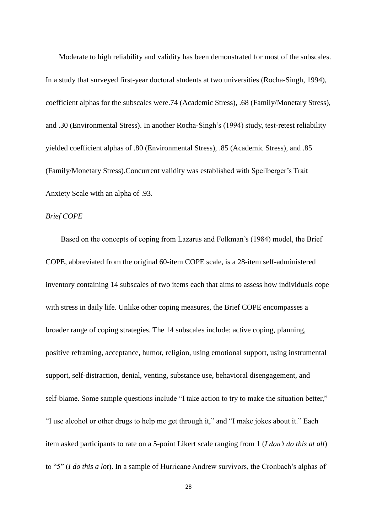Moderate to high reliability and validity has been demonstrated for most of the subscales. In a study that surveyed first-year doctoral students at two universities (Rocha-Singh, 1994), coefficient alphas for the subscales were.74 (Academic Stress), .68 (Family/Monetary Stress), and .30 (Environmental Stress). In another Rocha-Singh's (1994) study, test-retest reliability yielded coefficient alphas of .80 (Environmental Stress), .85 (Academic Stress), and .85 (Family/Monetary Stress).Concurrent validity was established with Speilberger's Trait Anxiety Scale with an alpha of .93.

### *Brief COPE*

Based on the concepts of coping from Lazarus and Folkman's (1984) model, the Brief COPE, abbreviated from the original 60-item COPE scale, is a 28-item self-administered inventory containing 14 subscales of two items each that aims to assess how individuals cope with stress in daily life. Unlike other coping measures, the Brief COPE encompasses a broader range of coping strategies. The 14 subscales include: active coping, planning, positive reframing, acceptance, humor, religion, using emotional support, using instrumental support, self-distraction, denial, venting, substance use, behavioral disengagement, and self-blame. Some sample questions include "I take action to try to make the situation better," "I use alcohol or other drugs to help me get through it," and "I make jokes about it." Each item asked participants to rate on a 5-point Likert scale ranging from 1 (*I don't do this at all*) to ―5‖ (*I do this a lot*). In a sample of Hurricane Andrew survivors, the Cronbach's alphas of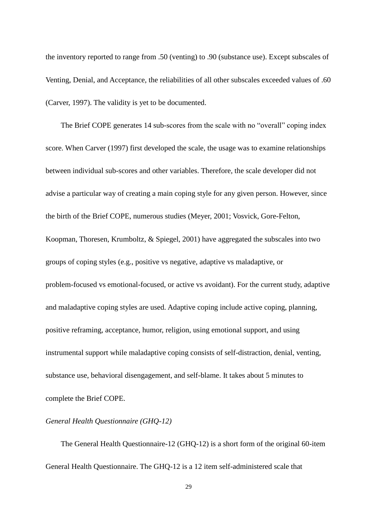the inventory reported to range from .50 (venting) to .90 (substance use). Except subscales of Venting, Denial, and Acceptance, the reliabilities of all other subscales exceeded values of .60 (Carver, 1997). The validity is yet to be documented.

The Brief COPE generates 14 sub-scores from the scale with no "overall" coping index score. When Carver (1997) first developed the scale, the usage was to examine relationships between individual sub-scores and other variables. Therefore, the scale developer did not advise a particular way of creating a main coping style for any given person. However, since the birth of the Brief COPE, numerous studies (Meyer, 2001; Vosvick, Gore-Felton, Koopman, Thoresen, Krumboltz, & Spiegel, 2001) have aggregated the subscales into two groups of coping styles (e.g., positive vs negative, adaptive vs maladaptive, or problem-focused vs emotional-focused, or active vs avoidant). For the current study, adaptive and maladaptive coping styles are used. Adaptive coping include active coping, planning, positive reframing, acceptance, humor, religion, using emotional support, and using instrumental support while maladaptive coping consists of self-distraction, denial, venting, substance use, behavioral disengagement, and self-blame. It takes about 5 minutes to complete the Brief COPE.

## *General Health Questionnaire (GHQ-12)*

The General Health Questionnaire-12 (GHQ-12) is a short form of the original 60-item General Health Questionnaire. The GHQ-12 is a 12 item self-administered scale that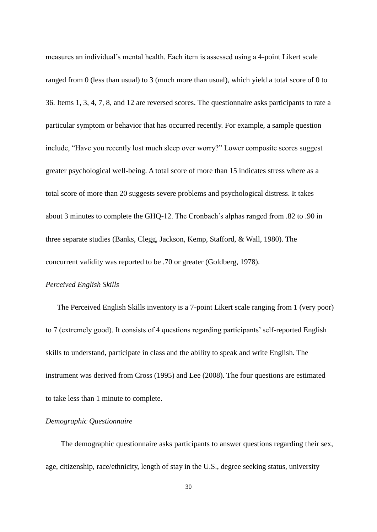measures an individual's mental health. Each item is assessed using a 4-point Likert scale ranged from 0 (less than usual) to 3 (much more than usual), which yield a total score of 0 to 36. Items 1, 3, 4, 7, 8, and 12 are reversed scores. The questionnaire asks participants to rate a particular symptom or behavior that has occurred recently. For example, a sample question include, "Have you recently lost much sleep over worry?" Lower composite scores suggest greater psychological well-being. A total score of more than 15 indicates stress where as a total score of more than 20 suggests severe problems and psychological distress. It takes about 3 minutes to complete the GHQ-12. The Cronbach's alphas ranged from .82 to .90 in three separate studies (Banks, Clegg, Jackson, Kemp, Stafford, & Wall, 1980). The concurrent validity was reported to be .70 or greater (Goldberg, 1978).

#### *Perceived English Skills*

The Perceived English Skills inventory is a 7-point Likert scale ranging from 1 (very poor) to 7 (extremely good). It consists of 4 questions regarding participants' self-reported English skills to understand, participate in class and the ability to speak and write English. The instrument was derived from Cross (1995) and Lee (2008). The four questions are estimated to take less than 1 minute to complete.

# *Demographic Questionnaire*

The demographic questionnaire asks participants to answer questions regarding their sex, age, citizenship, race/ethnicity, length of stay in the U.S., degree seeking status, university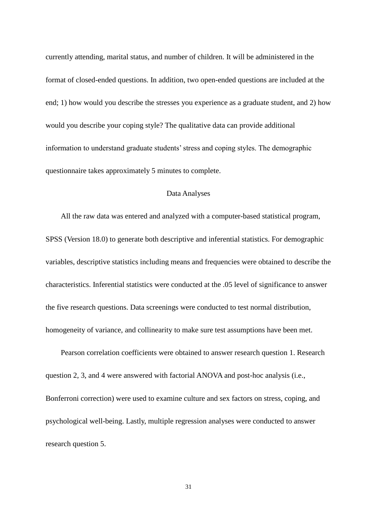currently attending, marital status, and number of children. It will be administered in the format of closed-ended questions. In addition, two open-ended questions are included at the end; 1) how would you describe the stresses you experience as a graduate student, and 2) how would you describe your coping style? The qualitative data can provide additional information to understand graduate students' stress and coping styles. The demographic questionnaire takes approximately 5 minutes to complete.

# Data Analyses

All the raw data was entered and analyzed with a computer-based statistical program, SPSS (Version 18.0) to generate both descriptive and inferential statistics. For demographic variables, descriptive statistics including means and frequencies were obtained to describe the characteristics. Inferential statistics were conducted at the .05 level of significance to answer the five research questions. Data screenings were conducted to test normal distribution, homogeneity of variance, and collinearity to make sure test assumptions have been met.

Pearson correlation coefficients were obtained to answer research question 1. Research question 2, 3, and 4 were answered with factorial ANOVA and post-hoc analysis (i.e., Bonferroni correction) were used to examine culture and sex factors on stress, coping, and psychological well-being. Lastly, multiple regression analyses were conducted to answer research question 5.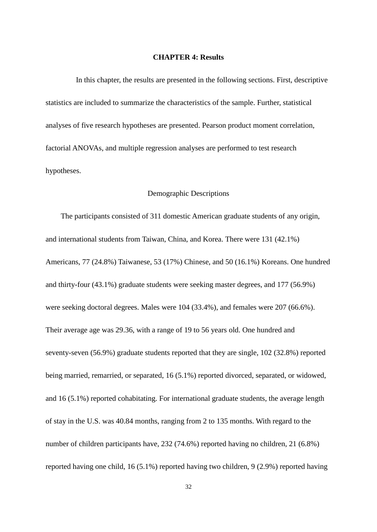#### **CHAPTER 4: Results**

In this chapter, the results are presented in the following sections. First, descriptive statistics are included to summarize the characteristics of the sample. Further, statistical analyses of five research hypotheses are presented. Pearson product moment correlation, factorial ANOVAs, and multiple regression analyses are performed to test research hypotheses.

#### Demographic Descriptions

The participants consisted of 311 domestic American graduate students of any origin, and international students from Taiwan, China, and Korea. There were 131 (42.1%) Americans, 77 (24.8%) Taiwanese, 53 (17%) Chinese, and 50 (16.1%) Koreans. One hundred and thirty-four (43.1%) graduate students were seeking master degrees, and 177 (56.9%) were seeking doctoral degrees. Males were 104 (33.4%), and females were 207 (66.6%). Their average age was 29.36, with a range of 19 to 56 years old. One hundred and seventy-seven (56.9%) graduate students reported that they are single, 102 (32.8%) reported being married, remarried, or separated, 16 (5.1%) reported divorced, separated, or widowed, and 16 (5.1%) reported cohabitating. For international graduate students, the average length of stay in the U.S. was 40.84 months, ranging from 2 to 135 months. With regard to the number of children participants have, 232 (74.6%) reported having no children, 21 (6.8%) reported having one child, 16 (5.1%) reported having two children, 9 (2.9%) reported having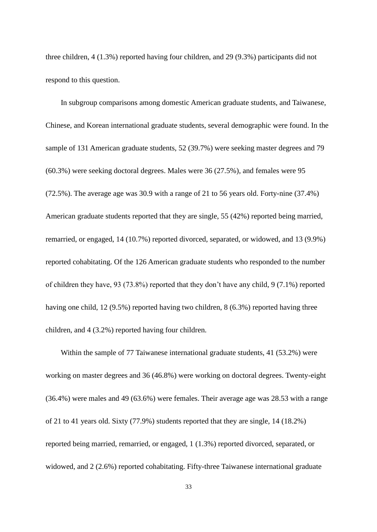three children, 4 (1.3%) reported having four children, and 29 (9.3%) participants did not respond to this question.

In subgroup comparisons among domestic American graduate students, and Taiwanese, Chinese, and Korean international graduate students, several demographic were found. In the sample of 131 American graduate students, 52 (39.7%) were seeking master degrees and 79 (60.3%) were seeking doctoral degrees. Males were 36 (27.5%), and females were 95 (72.5%). The average age was 30.9 with a range of 21 to 56 years old. Forty-nine (37.4%) American graduate students reported that they are single, 55 (42%) reported being married, remarried, or engaged, 14 (10.7%) reported divorced, separated, or widowed, and 13 (9.9%) reported cohabitating. Of the 126 American graduate students who responded to the number of children they have, 93 (73.8%) reported that they don't have any child, 9 (7.1%) reported having one child, 12 (9.5%) reported having two children, 8 (6.3%) reported having three children, and 4 (3.2%) reported having four children.

Within the sample of 77 Taiwanese international graduate students, 41 (53.2%) were working on master degrees and 36 (46.8%) were working on doctoral degrees. Twenty-eight (36.4%) were males and 49 (63.6%) were females. Their average age was 28.53 with a range of 21 to 41 years old. Sixty (77.9%) students reported that they are single, 14 (18.2%) reported being married, remarried, or engaged, 1 (1.3%) reported divorced, separated, or widowed, and 2 (2.6%) reported cohabitating. Fifty-three Taiwanese international graduate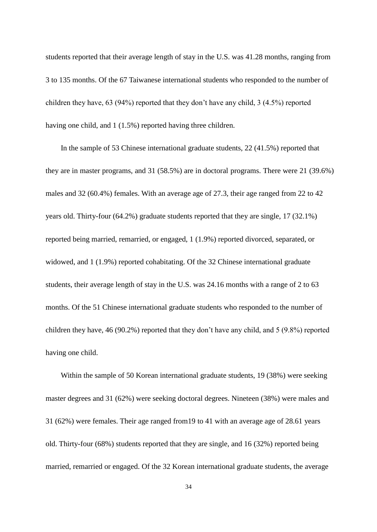students reported that their average length of stay in the U.S. was 41.28 months, ranging from 3 to 135 months. Of the 67 Taiwanese international students who responded to the number of children they have, 63 (94%) reported that they don't have any child, 3 (4.5%) reported having one child, and 1 (1.5%) reported having three children.

In the sample of 53 Chinese international graduate students, 22 (41.5%) reported that they are in master programs, and 31 (58.5%) are in doctoral programs. There were 21 (39.6%) males and 32 (60.4%) females. With an average age of 27.3, their age ranged from 22 to 42 years old. Thirty-four (64.2%) graduate students reported that they are single, 17 (32.1%) reported being married, remarried, or engaged, 1 (1.9%) reported divorced, separated, or widowed, and 1 (1.9%) reported cohabitating. Of the 32 Chinese international graduate students, their average length of stay in the U.S. was 24.16 months with a range of 2 to 63 months. Of the 51 Chinese international graduate students who responded to the number of children they have, 46 (90.2%) reported that they don't have any child, and 5 (9.8%) reported having one child.

Within the sample of 50 Korean international graduate students, 19 (38%) were seeking master degrees and 31 (62%) were seeking doctoral degrees. Nineteen (38%) were males and 31 (62%) were females. Their age ranged from19 to 41 with an average age of 28.61 years old. Thirty-four (68%) students reported that they are single, and 16 (32%) reported being married, remarried or engaged. Of the 32 Korean international graduate students, the average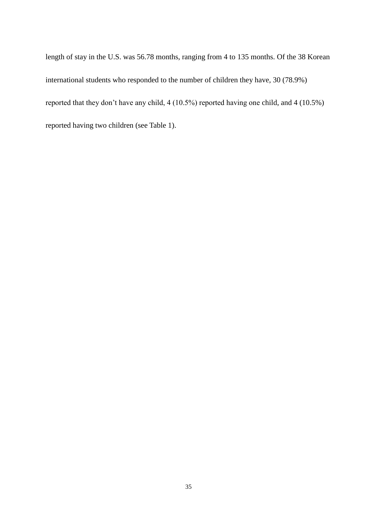length of stay in the U.S. was 56.78 months, ranging from 4 to 135 months. Of the 38 Korean international students who responded to the number of children they have, 30 (78.9%) reported that they don't have any child, 4 (10.5%) reported having one child, and 4 (10.5%) reported having two children (see Table 1).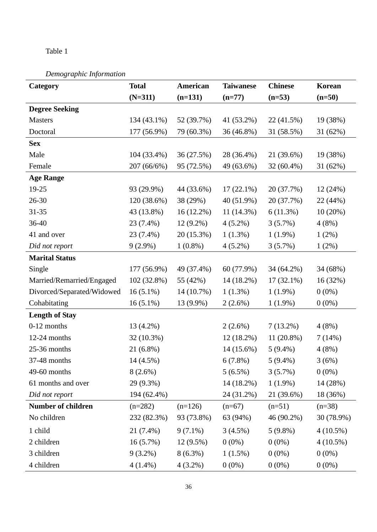# Table 1

# *Demographic Information*

| Category                   | <b>Total</b> | American     | <b>Taiwanese</b> | <b>Chinese</b> | Korean      |
|----------------------------|--------------|--------------|------------------|----------------|-------------|
|                            | $(N=311)$    | $(n=131)$    | $(n=77)$         | $(n=53)$       | $(n=50)$    |
| <b>Degree Seeking</b>      |              |              |                  |                |             |
| <b>Masters</b>             | 134 (43.1%)  | 52 (39.7%)   | 41 (53.2%)       | 22 (41.5%)     | 19 (38%)    |
| Doctoral                   | 177 (56.9%)  | 79 (60.3%)   | 36 (46.8%)       | 31 (58.5%)     | 31(62%)     |
| <b>Sex</b>                 |              |              |                  |                |             |
| Male                       | 104 (33.4%)  | 36 (27.5%)   | 28 (36.4%)       | 21 (39.6%)     | 19 (38%)    |
| Female                     | 207 (66/6%)  | 95 (72.5%)   | 49 (63.6%)       | $32(60.4\%)$   | 31 (62%)    |
| <b>Age Range</b>           |              |              |                  |                |             |
| 19-25                      | 93 (29.9%)   | 44 (33.6%)   | $17(22.1\%)$     | 20 (37.7%)     | 12(24%)     |
| 26-30                      | 120 (38.6%)  | 38 (29%)     | 40 (51.9%)       | 20 (37.7%)     | 22 (44%)    |
| $31 - 35$                  | 43 (13.8%)   | $16(12.2\%)$ | $11(14.3\%)$     | 6(11.3%)       | 10(20%)     |
| 36-40                      | 23 (7.4%)    | $12(9.2\%)$  | $4(5.2\%)$       | $3(5.7\%)$     | 4(8%)       |
| 41 and over                | 23 (7.4%)    | 20 (15.3%)   | $1(1.3\%)$       | $1(1.9\%)$     | 1(2%)       |
| Did not report             | $9(2.9\%)$   | $1(0.8\%)$   | $4(5.2\%)$       | $3(5.7\%)$     | 1(2%)       |
| <b>Marital Status</b>      |              |              |                  |                |             |
| Single                     | 177 (56.9%)  | 49 (37.4%)   | 60 (77.9%)       | 34 (64.2%)     | 34 (68%)    |
| Married/Remarried/Engaged  | 102 (32.8%)  | 55 (42%)     | 14 (18.2%)       | $17(32.1\%)$   | 16 (32%)    |
| Divorced/Separated/Widowed | $16(5.1\%)$  | 14 (10.7%)   | $1(1.3\%)$       | $1(1.9\%)$     | $0(0\%)$    |
| Cohabitating               | $16(5.1\%)$  | 13 (9.9%)    | $2(2.6\%)$       | $1(1.9\%)$     | $0(0\%)$    |
| <b>Length of Stay</b>      |              |              |                  |                |             |
| $0-12$ months              | 13 (4.2%)    |              | $2(2.6\%)$       | $7(13.2\%)$    | 4(8%)       |
| 12-24 months               | 32 (10.3%)   |              | $12(18.2\%)$     | $11(20.8\%)$   | 7(14%)      |
| 25-36 months               | 21 (6.8%)    |              | 14 (15.6%)       | $5(9.4\%)$     | 4(8%)       |
| 37-48 months               | 14 (4.5%)    |              | 6(7.8%)          | $5(9.4\%)$     | 3(6%)       |
| 49-60 months               | $8(2.6\%)$   |              | $5(6.5\%)$       | 3(5.7%)        | $0(0\%)$    |
| 61 months and over         | 29 (9.3%)    |              | $14(18.2\%)$     | $1(1.9\%)$     | 14 (28%)    |
| Did not report             | 194 (62.4%)  |              | 24 (31.2%)       | 21 (39.6%)     | 18 (36%)    |
| <b>Number of children</b>  | $(n=282)$    | $(n=126)$    | $(n=67)$         | $(n=51)$       | $(n=38)$    |
| No children                | 232 (82.3%)  | 93 (73.8%)   | 63 (94%)         | 46 (90.2%)     | 30 (78.9%)  |
| 1 child                    | 21 (7.4%)    | $9(7.1\%)$   | $3(4.5\%)$       | $5(9.8\%)$     | $4(10.5\%)$ |
| 2 children                 | $16(5.7\%)$  | $12(9.5\%)$  | $0(0\%)$         | $0(0\%)$       | $4(10.5\%)$ |
| 3 children                 | $9(3.2\%)$   | $8(6.3\%)$   | $1(1.5\%)$       | $0(0\%)$       | $0(0\%)$    |
| 4 children                 | $4(1.4\%)$   | $4(3.2\%)$   | $0(0\%)$         | $0(0\%)$       | $0(0\%)$    |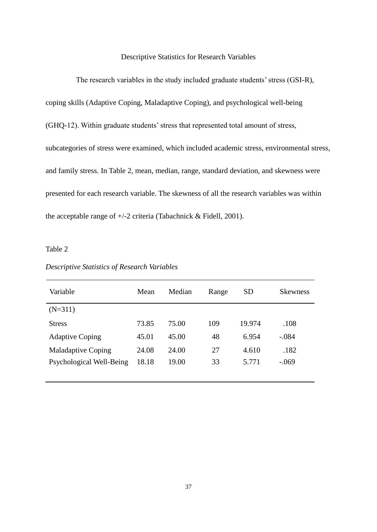### Descriptive Statistics for Research Variables

The research variables in the study included graduate students' stress (GSI-R), coping skills (Adaptive Coping, Maladaptive Coping), and psychological well-being (GHQ-12). Within graduate students' stress that represented total amount of stress, subcategories of stress were examined, which included academic stress, environmental stress, and family stress. In Table 2, mean, median, range, standard deviation, and skewness were presented for each research variable. The skewness of all the research variables was within the acceptable range of +/-2 criteria (Tabachnick & Fidell, 2001).

Table 2

| Variable                  | Mean  | Median | Range | <b>SD</b> | <b>Skewness</b> |
|---------------------------|-------|--------|-------|-----------|-----------------|
| $(N=311)$                 |       |        |       |           |                 |
| <b>Stress</b>             | 73.85 | 75.00  | 109   | 19.974    | .108            |
| <b>Adaptive Coping</b>    | 45.01 | 45.00  | 48    | 6.954     | $-.084$         |
| <b>Maladaptive Coping</b> | 24.08 | 24.00  | 27    | 4.610     | .182            |
| Psychological Well-Being  | 18.18 | 19.00  | 33    | 5.771     | $-.069$         |
|                           |       |        |       |           |                 |

*Descriptive Statistics of Research Variables*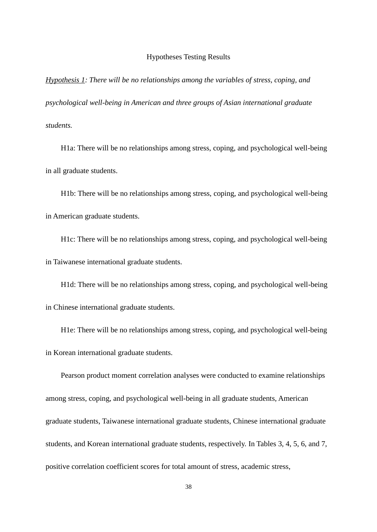#### Hypotheses Testing Results

*Hypothesis 1: There will be no relationships among the variables of stress, coping, and psychological well-being in American and three groups of Asian international graduate students.*

H1a: There will be no relationships among stress, coping, and psychological well-being in all graduate students.

H1b: There will be no relationships among stress, coping, and psychological well-being in American graduate students.

H1c: There will be no relationships among stress, coping, and psychological well-being in Taiwanese international graduate students.

H1d: There will be no relationships among stress, coping, and psychological well-being in Chinese international graduate students.

H1e: There will be no relationships among stress, coping, and psychological well-being in Korean international graduate students.

Pearson product moment correlation analyses were conducted to examine relationships among stress, coping, and psychological well-being in all graduate students, American graduate students, Taiwanese international graduate students, Chinese international graduate students, and Korean international graduate students, respectively. In Tables 3, 4, 5, 6, and 7, positive correlation coefficient scores for total amount of stress, academic stress,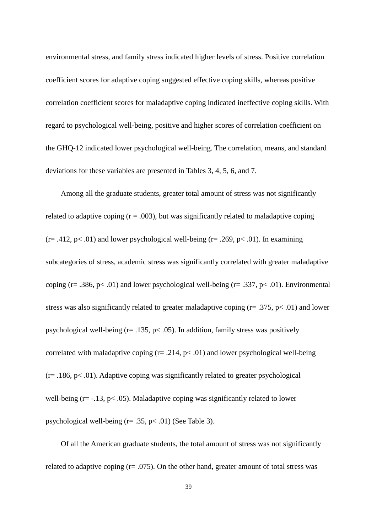environmental stress, and family stress indicated higher levels of stress. Positive correlation coefficient scores for adaptive coping suggested effective coping skills, whereas positive correlation coefficient scores for maladaptive coping indicated ineffective coping skills. With regard to psychological well-being, positive and higher scores of correlation coefficient on the GHQ-12 indicated lower psychological well-being. The correlation, means, and standard deviations for these variables are presented in Tables 3, 4, 5, 6, and 7.

Among all the graduate students, greater total amount of stress was not significantly related to adaptive coping  $(r = .003)$ , but was significantly related to maladaptive coping  $(r=.412, p<.01)$  and lower psychological well-being  $(r=.269, p<.01)$ . In examining subcategories of stress, academic stress was significantly correlated with greater maladaptive coping ( $r = .386$ ,  $p < .01$ ) and lower psychological well-being ( $r = .337$ ,  $p < .01$ ). Environmental stress was also significantly related to greater maladaptive coping  $(r= .375, p< .01)$  and lower psychological well-being (r= .135, p< .05). In addition, family stress was positively correlated with maladaptive coping  $(r=.214, p<.01)$  and lower psychological well-being  $(r= .186, p< .01)$ . Adaptive coping was significantly related to greater psychological well-being ( $r = -13$ ,  $p < .05$ ). Maladaptive coping was significantly related to lower psychological well-being  $(r=.35, p<.01)$  (See Table 3).

Of all the American graduate students, the total amount of stress was not significantly related to adaptive coping  $(r=.075)$ . On the other hand, greater amount of total stress was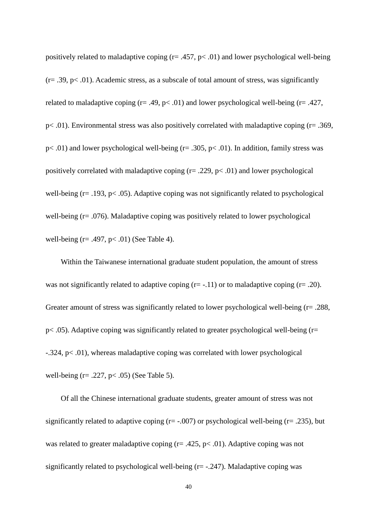positively related to maladaptive coping  $(r=.457, p<.01)$  and lower psychological well-being  $(r=.39, p<.01)$ . Academic stress, as a subscale of total amount of stress, was significantly related to maladaptive coping ( $r = .49$ ,  $p < .01$ ) and lower psychological well-being ( $r = .427$ , p< .01). Environmental stress was also positively correlated with maladaptive coping (r= .369,  $p<.01$ ) and lower psychological well-being ( $r= .305$ ,  $p<.01$ ). In addition, family stress was positively correlated with maladaptive coping  $(r=.229, p<.01)$  and lower psychological well-being  $(r= .193, p< .05)$ . Adaptive coping was not significantly related to psychological well-being (r= .076). Maladaptive coping was positively related to lower psychological well-being  $(r=.497, p<.01)$  (See Table 4).

Within the Taiwanese international graduate student population, the amount of stress was not significantly related to adaptive coping  $(r=-.11)$  or to maladaptive coping  $(r=-.20)$ . Greater amount of stress was significantly related to lower psychological well-being (r= .288,  $p<.05$ ). Adaptive coping was significantly related to greater psychological well-being ( $r=$ -.324, p< .01), whereas maladaptive coping was correlated with lower psychological well-being  $(r=.227, p<.05)$  (See Table 5).

Of all the Chinese international graduate students, greater amount of stress was not significantly related to adaptive coping ( $r = -0.007$ ) or psychological well-being ( $r = 0.235$ ), but was related to greater maladaptive coping (r= .425, p< .01). Adaptive coping was not significantly related to psychological well-being  $(r = -0.247)$ . Maladaptive coping was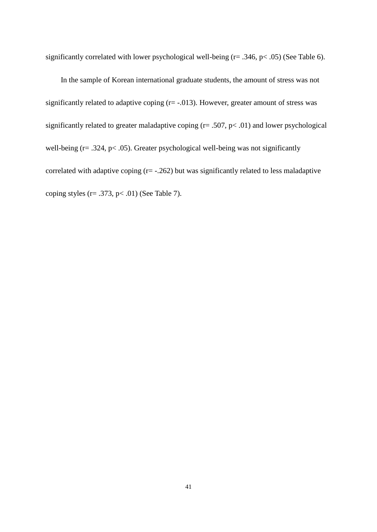significantly correlated with lower psychological well-being (r= .346, p < .05) (See Table 6).

In the sample of Korean international graduate students, the amount of stress was not significantly related to adaptive coping  $(r = -0.013)$ . However, greater amount of stress was significantly related to greater maladaptive coping  $(r = .507, p < .01)$  and lower psychological well-being  $(r=.324, p<.05)$ . Greater psychological well-being was not significantly correlated with adaptive coping  $(r=-.262)$  but was significantly related to less maladaptive coping styles ( $r = .373$ ,  $p < .01$ ) (See Table 7).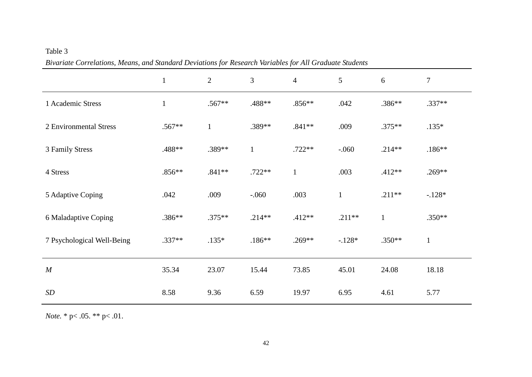|                            | $\mathbf{1}$ | $\overline{2}$ | 3            | $\mathbf{v}$<br>$\overline{4}$ | 5            | $6\,$        | $\tau$       |
|----------------------------|--------------|----------------|--------------|--------------------------------|--------------|--------------|--------------|
| 1 Academic Stress          | $\mathbf{1}$ | $.567**$       | .488**       | $.856**$                       | .042         | .386**       | $.337**$     |
| 2 Environmental Stress     | .567**       | $\mathbf{1}$   | .389**       | $.841**$                       | .009         | $.375**$     | $.135*$      |
| 3 Family Stress            | .488**       | .389**         | $\mathbf{1}$ | $.722**$                       | $-0.060$     | $.214**$     | $.186**$     |
| 4 Stress                   | $.856**$     | $.841**$       | $.722**$     | $\mathbf{1}$                   | .003         | $.412**$     | $.269**$     |
| 5 Adaptive Coping          | .042         | .009           | $-.060$      | .003                           | $\mathbf{1}$ | $.211**$     | $-.128*$     |
| 6 Maladaptive Coping       | .386**       | $.375**$       | $.214**$     | $.412**$                       | $.211**$     | $\mathbf{1}$ | $.350**$     |
| 7 Psychological Well-Being | $.337**$     | $.135*$        | $.186**$     | $.269**$                       | $-.128*$     | $.350**$     | $\mathbf{1}$ |
| $\cal M$                   | 35.34        | 23.07          | 15.44        | 73.85                          | 45.01        | 24.08        | 18.18        |
| $\boldsymbol{SD}$          | 8.58         | 9.36           | 6.59         | 19.97                          | 6.95         | 4.61         | 5.77         |

*Bivariate Correlations, Means, and Standard Deviations for Research Variables for All Graduate Students*

*Note.* \* p< .05. \*\* p< .01.

Table 3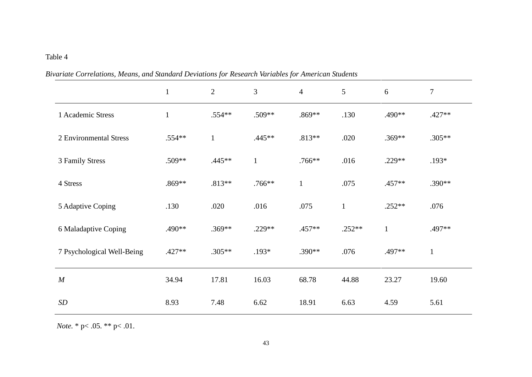# Table 4

|                            | $\mathbf{1}$ | $\mathbf{2}$ | 3            | $\overline{4}$ | 5            | 6            | $\boldsymbol{7}$ |
|----------------------------|--------------|--------------|--------------|----------------|--------------|--------------|------------------|
| 1 Academic Stress          | $\mathbf{1}$ | $.554**$     | .509**       | .869**         | .130         | .490**       | $.427**$         |
| 2 Environmental Stress     | .554**       | $\mathbf{1}$ | $.445**$     | $.813**$       | .020         | $.369**$     | $.305**$         |
| 3 Family Stress            | .509**       | $.445**$     | $\mathbf{1}$ | $.766**$       | .016         | $.229**$     | $.193*$          |
| 4 Stress                   | .869**       | $.813**$     | $.766***$    | $\mathbf{1}$   | .075         | .457**       | .390**           |
| 5 Adaptive Coping          | .130         | .020         | .016         | .075           | $\mathbf{1}$ | $.252**$     | .076             |
| 6 Maladaptive Coping       | .490**       | $.369**$     | .229**       | .457**         | $.252**$     | $\mathbf{1}$ | .497**           |
| 7 Psychological Well-Being | $.427**$     | $.305**$     | $.193*$      | .390**         | .076         | .497**       | $\mathbf{1}$     |
| M                          | 34.94        | 17.81        | 16.03        | 68.78          | 44.88        | 23.27        | 19.60            |
| SD                         | 8.93         | 7.48         | 6.62         | 18.91          | 6.63         | 4.59         | 5.61             |

*Bivariate Correlations, Means, and Standard Deviations for Research Variables for American Students*

 *Note.* \* p< .05. \*\* p< .01.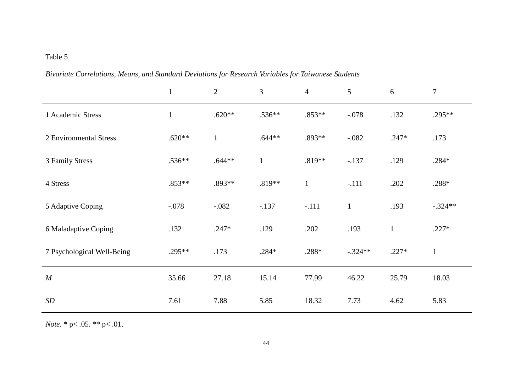# Table 5

| recording correctivity, meaning and summary December of Tesseurch (armores for Latin anche Simulatio | $\mathbf{1}$ | $\overline{2}$ | 3            | $\overline{4}$ | $\mathfrak{S}$ | 6            | $\tau$       |
|------------------------------------------------------------------------------------------------------|--------------|----------------|--------------|----------------|----------------|--------------|--------------|
| 1 Academic Stress                                                                                    | $\mathbf{1}$ | $.620**$       | $.536**$     | $.853**$       | $-.078$        | .132         | $.295**$     |
| 2 Environmental Stress                                                                               | $.620**$     | $\mathbf{1}$   | $.644**$     | $.893**$       | $-.082$        | $.247*$      | .173         |
| 3 Family Stress                                                                                      | $.536**$     | $.644**$       | $\mathbf{1}$ | $.819**$       | $-.137$        | .129         | $.284*$      |
| 4 Stress                                                                                             | $.853**$     | .893**         | $.819**$     | $\mathbf{1}$   | $-.111$        | .202         | $.288*$      |
| 5 Adaptive Coping                                                                                    | $-.078$      | $-.082$        | $-.137$      | $-.111$        | $\mathbf{1}$   | .193         | $-.324**$    |
| 6 Maladaptive Coping                                                                                 | .132         | $.247*$        | .129         | .202           | .193           | $\mathbf{1}$ | $.227*$      |
| 7 Psychological Well-Being                                                                           | $.295**$     | .173           | $.284*$      | $.288*$        | $-.324**$      | $.227*$      | $\mathbf{1}$ |
| $\boldsymbol{M}$                                                                                     | 35.66        | 27.18          | 15.14        | 77.99          | 46.22          | 25.79        | 18.03        |
| SD                                                                                                   | 7.61         | 7.88           | 5.85         | 18.32          | 7.73           | 4.62         | 5.83         |

*Bivariate Correlations, Means, and Standard Deviations for Research Variables for Taiwanese Students*

*Note.* \* p< .05. \*\* p< .01.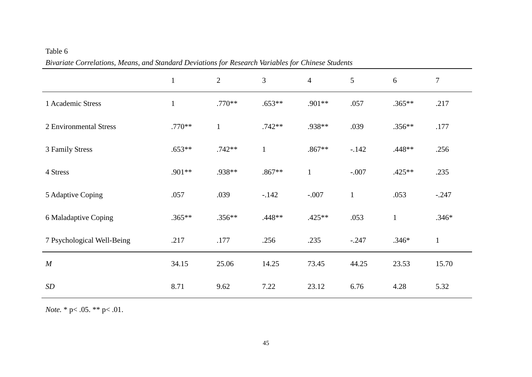| Table 6                                                                                            |
|----------------------------------------------------------------------------------------------------|
| Bivariate Correlations, Means, and Standard Deviations for Research Variables for Chinese Students |

|                            | $\mathbf{1}$ | 2            | 3            | $\overline{4}$ | 5            | 6            | $\tau$      |
|----------------------------|--------------|--------------|--------------|----------------|--------------|--------------|-------------|
| 1 Academic Stress          |              | $.770**$     | $.653**$     | $.901**$       | .057         | $.365**$     | .217        |
| 2 Environmental Stress     | $.770**$     | $\mathbf{1}$ | $.742**$     | .938**         | .039         | $.356**$     | .177        |
| 3 Family Stress            | $.653**$     | $.742**$     | $\mathbf{1}$ | $.867**$       | $-.142$      | .448**       | .256        |
| 4 Stress                   | .901**       | .938**       | $.867**$     | $\mathbf{1}$   | $-.007$      | $.425**$     | .235        |
| 5 Adaptive Coping          | .057         | .039         | $-.142$      | $-.007$        | $\mathbf{1}$ | .053         | $-.247$     |
| 6 Maladaptive Coping       | $.365**$     | $.356**$     | .448**       | $.425**$       | .053         | $\mathbf{1}$ | $.346*$     |
| 7 Psychological Well-Being | .217         | .177         | .256         | .235           | $-.247$      | $.346*$      | $\mathbf 1$ |
| $\cal M$                   | 34.15        | 25.06        | 14.25        | 73.45          | 44.25        | 23.53        | 15.70       |
| SD                         | 8.71         | 9.62         | 7.22         | 23.12          | 6.76         | 4.28         | 5.32        |

*Note.* \* p< .05. \*\* p< .01.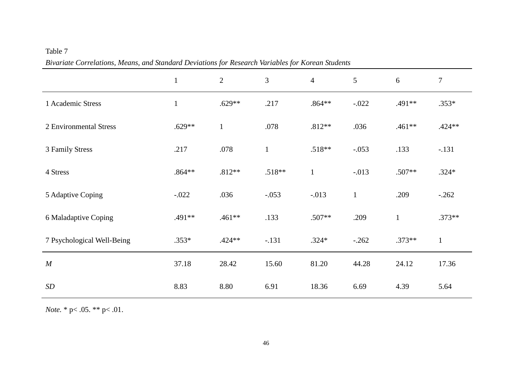|                            | $\mathbf{1}$ | 2            | 3            | $\overline{4}$ | 5            | 6            | $\overline{7}$ |  |  |
|----------------------------|--------------|--------------|--------------|----------------|--------------|--------------|----------------|--|--|
| 1 Academic Stress          | $\mathbf{1}$ | $.629**$     | .217         | $.864**$       | $-.022$      | .491**       | $.353*$        |  |  |
| 2 Environmental Stress     | $.629**$     | $\mathbf{1}$ | .078         | $.812**$       | .036         | $.461**$     | .424**         |  |  |
| 3 Family Stress            | .217         | .078         | $\mathbf{1}$ | $.518**$       | $-.053$      | .133         | $-.131$        |  |  |
| 4 Stress                   | $.864**$     | $.812**$     | $.518**$     | $\mathbf{1}$   | $-.013$      | $.507**$     | $.324*$        |  |  |
| 5 Adaptive Coping          | $-.022$      | .036         | $-.053$      | $-.013$        | $\mathbf{1}$ | .209         | $-.262$        |  |  |
| 6 Maladaptive Coping       | .491**       | .461**       | .133         | .507**         | .209         | $\mathbf{1}$ | $.373**$       |  |  |
| 7 Psychological Well-Being | $.353*$      | $.424**$     | $-.131$      | $.324*$        | $-.262$      | $.373**$     | $\mathbf{1}$   |  |  |
| $\cal M$                   | 37.18        | 28.42        | 15.60        | 81.20          | 44.28        | 24.12        | 17.36          |  |  |
| SD                         | 8.83         | 8.80         | 6.91         | 18.36          | 6.69         | 4.39         | 5.64           |  |  |

*Bivariate Correlations, Means, and Standard Deviations for Research Variables for Korean Students*

*Note.* \* p< .05. \*\* p< .01.

Table 7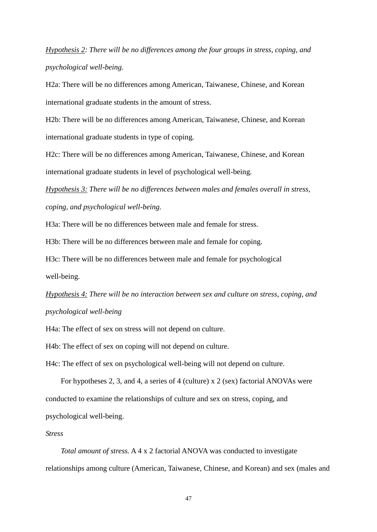*Hypothesis 2: There will be no differences among the four groups in stress, coping, and psychological well-being.* 

H2a: There will be no differences among American, Taiwanese, Chinese, and Korean international graduate students in the amount of stress.

H2b: There will be no differences among American, Taiwanese, Chinese, and Korean international graduate students in type of coping.

H2c: There will be no differences among American, Taiwanese, Chinese, and Korean international graduate students in level of psychological well-being.

*Hypothesis 3: There will be no differences between males and females overall in stress, coping, and psychological well-being.* 

H3a: There will be no differences between male and female for stress.

H3b: There will be no differences between male and female for coping.

H3c: There will be no differences between male and female for psychological

well-being.

*Hypothesis 4: There will be no interaction between sex and culture on stress, coping, and psychological well-being*

H4a: The effect of sex on stress will not depend on culture.

H4b: The effect of sex on coping will not depend on culture.

H4c: The effect of sex on psychological well-being will not depend on culture.

For hypotheses 2, 3, and 4, a series of 4 (culture) x 2 (sex) factorial ANOVAs were conducted to examine the relationships of culture and sex on stress, coping, and psychological well-being.

#### *Stress*

*Total amount of stress.* A 4 x 2 factorial ANOVA was conducted to investigate relationships among culture (American, Taiwanese, Chinese, and Korean) and sex (males and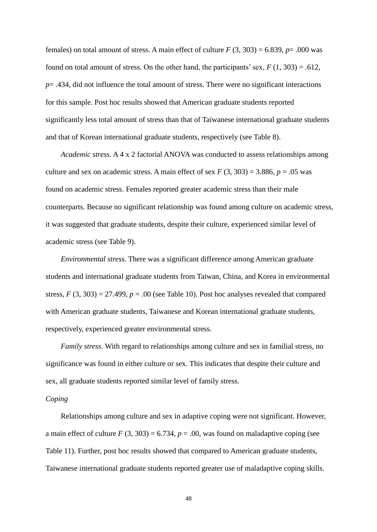females) on total amount of stress. A main effect of culture  $F(3, 303) = 6.839$ ,  $p = .000$  was found on total amount of stress. On the other hand, the participants' sex,  $F(1, 303) = .612$ , *p*= .434, did not influence the total amount of stress. There were no significant interactions for this sample. Post hoc results showed that American graduate students reported significantly less total amount of stress than that of Taiwanese international graduate students and that of Korean international graduate students, respectively (see Table 8).

*Academic stress.* A 4 x 2 factorial ANOVA was conducted to assess relationships among culture and sex on academic stress. A main effect of sex  $F(3, 303) = 3.886$ ,  $p = .05$  was found on academic stress. Females reported greater academic stress than their male counterparts. Because no significant relationship was found among culture on academic stress, it was suggested that graduate students, despite their culture, experienced similar level of academic stress (see Table 9).

*Environmental stress.* There was a significant difference among American graduate students and international graduate students from Taiwan, China, and Korea in environmental stress,  $F(3, 303) = 27.499$ ,  $p = .00$  (see Table 10). Post hoc analyses revealed that compared with American graduate students, Taiwanese and Korean international graduate students, respectively, experienced greater environmental stress.

*Family stress.* With regard to relationships among culture and sex in familial stress, no significance was found in either culture or sex. This indicates that despite their culture and sex, all graduate students reported similar level of family stress.

#### *Coping*

Relationships among culture and sex in adaptive coping were not significant. However, a main effect of culture  $F(3, 303) = 6.734$ ,  $p = .00$ , was found on maladaptive coping (see Table 11). Further, post hoc results showed that compared to American graduate students, Taiwanese international graduate students reported greater use of maladaptive coping skills.

48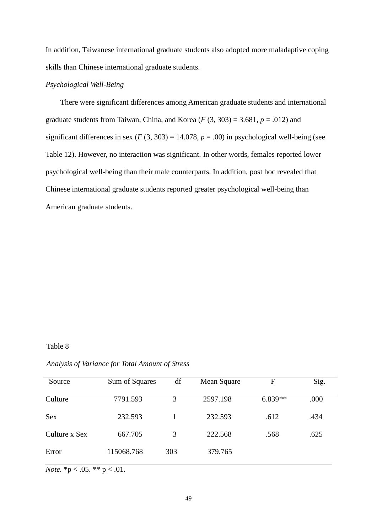In addition, Taiwanese international graduate students also adopted more maladaptive coping skills than Chinese international graduate students.

# *Psychological Well-Being*

There were significant differences among American graduate students and international graduate students from Taiwan, China, and Korea  $(F(3, 303) = 3.681, p = .012)$  and significant differences in sex ( $F(3, 303) = 14.078$ ,  $p = .00$ ) in psychological well-being (see Table 12). However, no interaction was significant. In other words, females reported lower psychological well-being than their male counterparts. In addition, post hoc revealed that Chinese international graduate students reported greater psychological well-being than American graduate students.

#### Table 8

| Analysis of Variance for Total Amount of Stress |  |
|-------------------------------------------------|--|
|-------------------------------------------------|--|

| Source        | Sum of Squares | df  | Mean Square | F         | Sig. |
|---------------|----------------|-----|-------------|-----------|------|
| Culture       | 7791.593       | 3   | 2597.198    | $6.839**$ | .000 |
| <b>Sex</b>    | 232.593        |     | 232.593     | .612      | .434 |
| Culture x Sex | 667.705        | 3   | 222.568     | .568      | .625 |
| Error         | 115068.768     | 303 | 379.765     |           |      |

*Note.*  ${}^*p < .05.$   ${}^{**}p < .01.$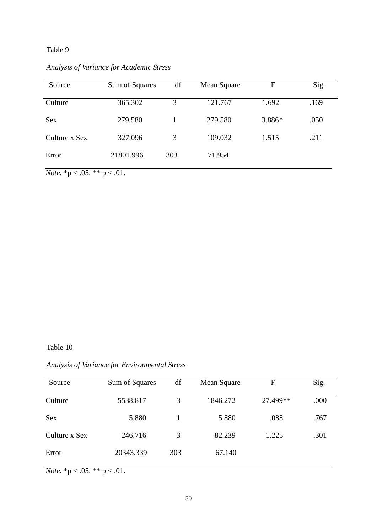# Table 9

| Source        | Sum of Squares | df  | Mean Square | F      | Sig. |
|---------------|----------------|-----|-------------|--------|------|
| Culture       | 365.302        | 3   | 121.767     | 1.692  | .169 |
| <b>Sex</b>    | 279.580        |     | 279.580     | 3.886* | .050 |
| Culture x Sex | 327.096        | 3   | 109.032     | 1.515  | .211 |
| Error         | 21801.996      | 303 | 71.954      |        |      |

*Analysis of Variance for Academic Stress*

*Note.* \* $p < .05$ . \*\*  $p < .01$ .

Table 10

# *Analysis of Variance for Environmental Stress*

| Source        | Sum of Squares | df  | Mean Square | F        | Sig. |
|---------------|----------------|-----|-------------|----------|------|
| Culture       | 5538.817       | 3   | 1846.272    | 27.499** | .000 |
| Sex           | 5.880          |     | 5.880       | .088     | .767 |
| Culture x Sex | 246.716        | 3   | 82.239      | 1.225    | .301 |
| Error         | 20343.339      | 303 | 67.140      |          |      |

*Note.* \*p < .05. \*\* p < .01.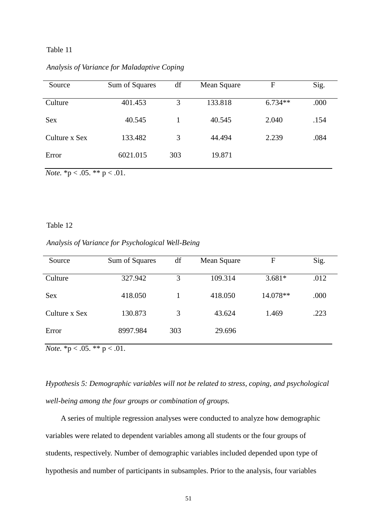## Table 11

| Source        | Sum of Squares | df  | Mean Square | F         | Sig. |
|---------------|----------------|-----|-------------|-----------|------|
| Culture       | 401.453        | 3   | 133.818     | $6.734**$ | .000 |
| <b>Sex</b>    | 40.545         |     | 40.545      | 2.040     | .154 |
| Culture x Sex | 133.482        | 3   | 44.494      | 2.239     | .084 |
| Error         | 6021.015       | 303 | 19.871      |           |      |

*Analysis of Variance for Maladaptive Coping*

*Note.*  ${}^*p < .05.$   ${}^{**}p < .01.$ 

#### Table 12

*Analysis of Variance for Psychological Well-Being*

| Source        | Sum of Squares | df  | Mean Square | F        | Sig. |
|---------------|----------------|-----|-------------|----------|------|
| Culture       | 327.942        | 3   | 109.314     | $3.681*$ | .012 |
| <b>Sex</b>    | 418.050        |     | 418.050     | 14.078** | .000 |
| Culture x Sex | 130.873        | 3   | 43.624      | 1.469    | .223 |
| Error         | 8997.984       | 303 | 29.696      |          |      |

*Note.*  ${}^*p < .05.$   ${}^{**}p < .01.$ 

*Hypothesis 5: Demographic variables will not be related to stress, coping, and psychological well-being among the four groups or combination of groups.*

A series of multiple regression analyses were conducted to analyze how demographic variables were related to dependent variables among all students or the four groups of students, respectively. Number of demographic variables included depended upon type of hypothesis and number of participants in subsamples. Prior to the analysis, four variables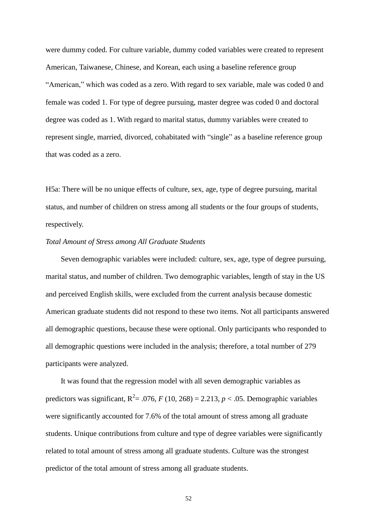were dummy coded. For culture variable, dummy coded variables were created to represent American, Taiwanese, Chinese, and Korean, each using a baseline reference group "American," which was coded as a zero. With regard to sex variable, male was coded 0 and female was coded 1. For type of degree pursuing, master degree was coded 0 and doctoral degree was coded as 1. With regard to marital status, dummy variables were created to represent single, married, divorced, cohabitated with "single" as a baseline reference group that was coded as a zero.

H5a: There will be no unique effects of culture, sex, age, type of degree pursuing, marital status, and number of children on stress among all students or the four groups of students, respectively.

#### *Total Amount of Stress among All Graduate Students*

Seven demographic variables were included: culture, sex, age, type of degree pursuing, marital status, and number of children. Two demographic variables, length of stay in the US and perceived English skills, were excluded from the current analysis because domestic American graduate students did not respond to these two items. Not all participants answered all demographic questions, because these were optional. Only participants who responded to all demographic questions were included in the analysis; therefore, a total number of 279 participants were analyzed.

It was found that the regression model with all seven demographic variables as predictors was significant,  $R^2 = .076$ ,  $F(10, 268) = 2.213$ ,  $p < .05$ . Demographic variables were significantly accounted for 7.6% of the total amount of stress among all graduate students. Unique contributions from culture and type of degree variables were significantly related to total amount of stress among all graduate students. Culture was the strongest predictor of the total amount of stress among all graduate students.

52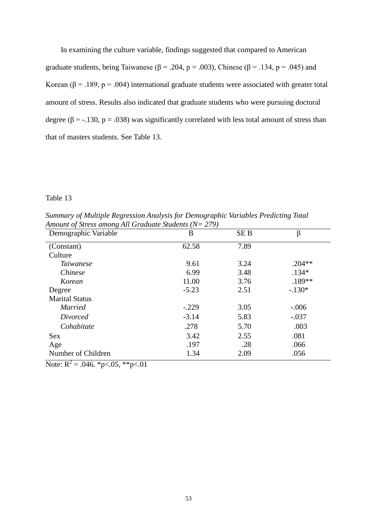In examining the culture variable, findings suggested that compared to American graduate students, being Taiwanese ( $\beta$  = .204, p = .003), Chinese ( $\beta$  = .134, p = .045) and Korean ( $\beta$  = .189, p = .004) international graduate students were associated with greater total amount of stress. Results also indicated that graduate students who were pursuing doctoral degree ( $\beta$  = -.130,  $p$  = .038) was significantly correlated with less total amount of stress than that of masters students. See Table 13.

#### Table 13

*Summary of Multiple Regression Analysis for Demographic Variables Predicting Total Amount of Stress among All Graduate Students (N= 279)*

| Demographic Variable    | B       | <b>SEB</b> | β        |
|-------------------------|---------|------------|----------|
| (Constant)              | 62.58   | 7.89       |          |
| Culture                 |         |            |          |
| <i>Taiwanese</i>        | 9.61    | 3.24       | $.204**$ |
| <i>Chinese</i>          | 6.99    | 3.48       | $.134*$  |
| Korean                  | 11.00   | 3.76       | $.189**$ |
| Degree                  | $-5.23$ | 2.51       | $-.130*$ |
| <b>Marital Status</b>   |         |            |          |
| <b>Married</b>          | $-.229$ | 3.05       | $-.006$  |
| Divorced                | $-3.14$ | 5.83       | $-.037$  |
| Cohabitate              | .278    | 5.70       | .003     |
| <b>Sex</b>              | 3.42    | 2.55       | .081     |
| Age                     | .197    | .28        | .066     |
| Number of Children<br>┑ | 1.34    | 2.09       | .056     |

Note:  $R^2 = .046$ . \*p<.05, \*\*p<.01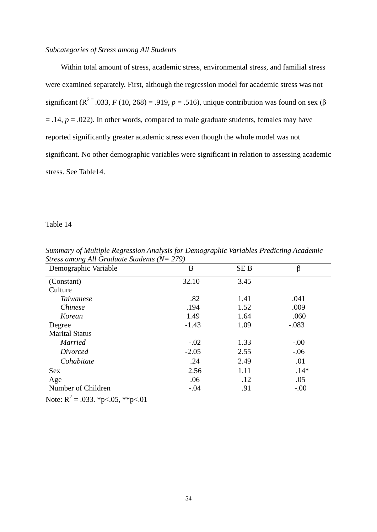### *Subcategories of Stress among All Students*

Within total amount of stress, academic stress, environmental stress, and familial stress were examined separately. First, although the regression model for academic stress was not significant ( $\mathbb{R}^{2}$ <sup>=</sup> .033, *F* (10, 268) = .919, *p* = .516), unique contribution was found on sex ( $\beta$  $= .14, p = .022$ ). In other words, compared to male graduate students, females may have reported significantly greater academic stress even though the whole model was not significant. No other demographic variables were significant in relation to assessing academic stress. See Table14.

#### Table 14

| Demographic Variable  | B       | <b>SEB</b> | β       |
|-----------------------|---------|------------|---------|
| (Constant)            | 32.10   | 3.45       |         |
| Culture               |         |            |         |
| <i>Taiwanese</i>      | .82     | 1.41       | .041    |
| <i>Chinese</i>        | .194    | 1.52       | .009    |
| Korean                | 1.49    | 1.64       | .060    |
| Degree                | $-1.43$ | 1.09       | $-.083$ |
| <b>Marital Status</b> |         |            |         |
| <b>Married</b>        | $-.02$  | 1.33       | $-.00$  |
| Divorced              | $-2.05$ | 2.55       | $-.06$  |
| Cohabitate            | .24     | 2.49       | .01     |
| <b>Sex</b>            | 2.56    | 1.11       | $.14*$  |
| Age                   | .06     | .12        | .05     |
| Number of Children    | $-.04$  | .91        | $-.00$  |

*Summary of Multiple Regression Analysis for Demographic Variables Predicting Academic Stress among All Graduate Students (N= 279)*

Note:  $R^2 = .033$ . \*p<.05, \*\*p<.01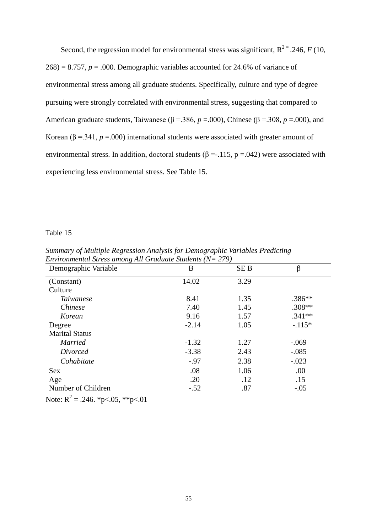Second, the regression model for environmental stress was significant,  $R^{2}$  = .246, *F* (10,  $268$ ) = 8.757,  $p = .000$ . Demographic variables accounted for 24.6% of variance of environmental stress among all graduate students. Specifically, culture and type of degree pursuing were strongly correlated with environmental stress, suggesting that compared to American graduate students, Taiwanese ( $\beta$  =.386,  $p$  =.000), Chinese ( $\beta$  =.308,  $p$  =.000), and Korean ( $\beta$  = .341,  $p$  = .000) international students were associated with greater amount of environmental stress. In addition, doctoral students ( $\beta = -115$ , p = 042) were associated with experiencing less environmental stress. See Table 15.

#### Table 15

| Demographic Variable  | B       | <b>SEB</b> | β        |
|-----------------------|---------|------------|----------|
| (Constant)            | 14.02   | 3.29       |          |
| Culture               |         |            |          |
| <i>Taiwanese</i>      | 8.41    | 1.35       | $.386**$ |
| <i>Chinese</i>        | 7.40    | 1.45       | $.308**$ |
| Korean                | 9.16    | 1.57       | $.341**$ |
| Degree                | $-2.14$ | 1.05       | $-.115*$ |
| <b>Marital Status</b> |         |            |          |
| <b>Married</b>        | $-1.32$ | 1.27       | $-.069$  |
| Divorced              | $-3.38$ | 2.43       | $-.085$  |
| Cohabitate            | $-.97$  | 2.38       | $-.023$  |
| <b>Sex</b>            | .08     | 1.06       | .00      |
| Age                   | .20     | .12        | .15      |
| Number of Children    | $-.52$  | .87        | $-.05$   |

*Summary of Multiple Regression Analysis for Demographic Variables Predicting Environmental Stress among All Graduate Students (N= 279)*

Note:  $R^2 = .246$ . \*p<.05, \*\*p<.01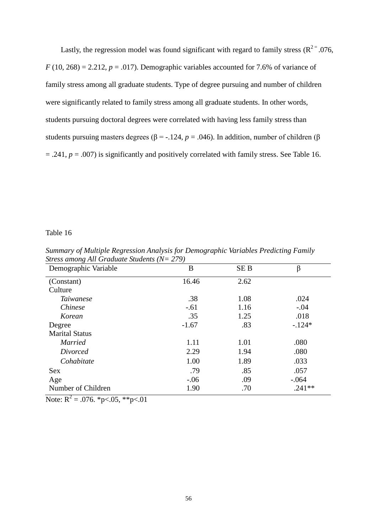Lastly, the regression model was found significant with regard to family stress ( $R^{2}$ = .076,  $F(10, 268) = 2.212$ ,  $p = .017$ ). Demographic variables accounted for 7.6% of variance of family stress among all graduate students. Type of degree pursuing and number of children were significantly related to family stress among all graduate students. In other words, students pursuing doctoral degrees were correlated with having less family stress than students pursuing masters degrees ( $\beta$  = -.124, *p* = .046). In addition, number of children ( $\beta$ = .241, *p* = .007) is significantly and positively correlated with family stress. See Table 16.

#### Table 16

| Summary of Multiple Regression Analysis for Demographic Variables Predicting Family |  |
|-------------------------------------------------------------------------------------|--|
| <i>Stress among All Graduate Students (<math>N = 279</math>)</i>                    |  |

| Demographic Variable  | B       | <b>SEB</b> | β        |
|-----------------------|---------|------------|----------|
| (Constant)            | 16.46   | 2.62       |          |
| Culture               |         |            |          |
| <i>Taiwanese</i>      | .38     | 1.08       | .024     |
| Chinese               | $-.61$  | 1.16       | $-.04$   |
| Korean                | .35     | 1.25       | .018     |
| Degree                | $-1.67$ | .83        | $-124*$  |
| <b>Marital Status</b> |         |            |          |
| <b>Married</b>        | 1.11    | 1.01       | .080     |
| Divorced              | 2.29    | 1.94       | .080     |
| Cohabitate            | 1.00    | 1.89       | .033     |
| <b>Sex</b>            | .79     | .85        | .057     |
| Age                   | $-.06$  | .09        | $-.064$  |
| Number of Children    | 1.90    | .70        | $.241**$ |

Note:  $R^2 = .076$ . \*p<.05, \*\*p<.01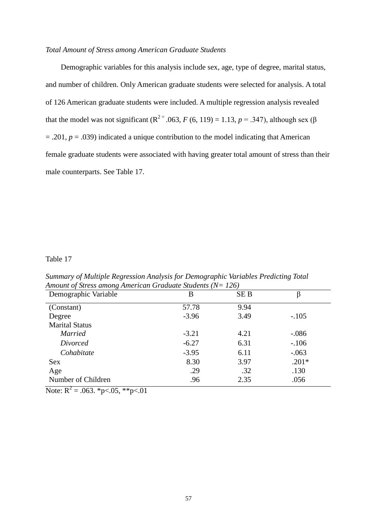#### *Total Amount of Stress among American Graduate Students*

Demographic variables for this analysis include sex, age, type of degree, marital status, and number of children. Only American graduate students were selected for analysis. A total of 126 American graduate students were included. A multiple regression analysis revealed that the model was not significant ( $R^{2}$ <sup>=</sup> .063, *F* (6, 119) = 1.13, *p* = .347), although sex ( $\beta$ = .201, *p* = .039) indicated a unique contribution to the model indicating that American female graduate students were associated with having greater total amount of stress than their male counterparts. See Table 17.

#### Table 17

*Summary of Multiple Regression Analysis for Demographic Variables Predicting Total Amount of Stress among American Graduate Students (N= 126)*

| Demographic Variable  | B       | <b>SEB</b> |         |
|-----------------------|---------|------------|---------|
| (Constant)            | 57.78   | 9.94       |         |
| Degree                | $-3.96$ | 3.49       | $-.105$ |
| <b>Marital Status</b> |         |            |         |
| <b>Married</b>        | $-3.21$ | 4.21       | $-.086$ |
| Divorced              | $-6.27$ | 6.31       | $-.106$ |
| Cohabitate            | $-3.95$ | 6.11       | $-.063$ |
| <b>Sex</b>            | 8.30    | 3.97       | $.201*$ |
| Age                   | .29     | .32        | .130    |
| Number of Children    | .96     | 2.35       | .056    |

Note:  $R^2 = .063$ . \*p<.05, \*\*p<.01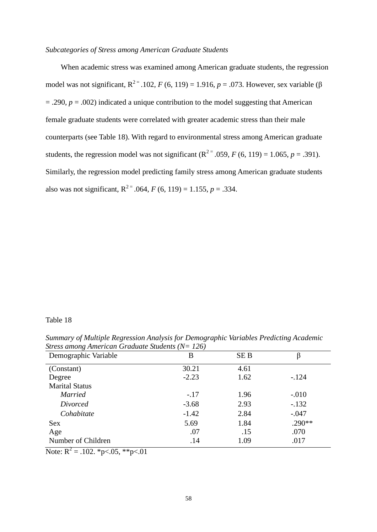#### *Subcategories of Stress among American Graduate Students*

When academic stress was examined among American graduate students, the regression model was not significant,  $R^{2} = 0.102$ , *F* (6, 119) = 1.916, *p* = .073. However, sex variable (β  $= .290$ ,  $p = .002$ ) indicated a unique contribution to the model suggesting that American female graduate students were correlated with greater academic stress than their male counterparts (see Table 18). With regard to environmental stress among American graduate students, the regression model was not significant  $(R^{2} = .059, F(6, 119) = 1.065, p = .391)$ . Similarly, the regression model predicting family stress among American graduate students also was not significant,  $R^{2}$ <sup>=</sup> .064, *F* (6, 119) = 1.155, *p* = .334.

#### Table 18

*Summary of Multiple Regression Analysis for Demographic Variables Predicting Academic Stress among American Graduate Students (N= 126)*

| Demographic Variable  | В       | <b>SEB</b> | β        |
|-----------------------|---------|------------|----------|
| (Constant)            | 30.21   | 4.61       |          |
| Degree                | $-2.23$ | 1.62       | $-124$   |
| <b>Marital Status</b> |         |            |          |
| <i>Married</i>        | $-.17$  | 1.96       | $-.010$  |
| Divorced              | $-3.68$ | 2.93       | $-.132$  |
| Cohabitate            | $-1.42$ | 2.84       | $-.047$  |
| Sex                   | 5.69    | 1.84       | $.290**$ |
| Age                   | .07     | .15        | .070     |
| Number of Children    | .14     | 1.09       | .017     |

Note:  $R^2 = .102$ . \*p<.05, \*\*p<.01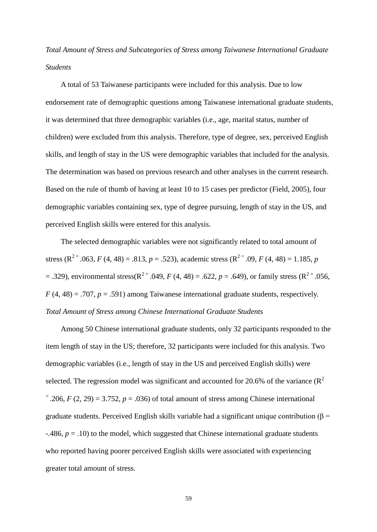*Total Amount of Stress and Subcategories of Stress among Taiwanese International Graduate Students*

A total of 53 Taiwanese participants were included for this analysis. Due to low endorsement rate of demographic questions among Taiwanese international graduate students, it was determined that three demographic variables (i.e., age, marital status, number of children) were excluded from this analysis. Therefore, type of degree, sex, perceived English skills, and length of stay in the US were demographic variables that included for the analysis. The determination was based on previous research and other analyses in the current research. Based on the rule of thumb of having at least 10 to 15 cases per predictor (Field, 2005), four demographic variables containing sex, type of degree pursuing, length of stay in the US, and perceived English skills were entered for this analysis.

The selected demographic variables were not significantly related to total amount of stress ( $R^{2} = .063$ , *F* (4, 48) = .813, *p* = .523), academic stress ( $R^{2} = .09$ , *F* (4, 48) = 1.185, *p* = .329), environmental stress( $R^{2}$ <sup>=</sup> .049, *F* (4, 48) = .622, *p* = .649), or family stress ( $R^{2}$ <sup>=</sup> .056,  $F(4, 48) = .707$ ,  $p = .591$ ) among Taiwanese international graduate students, respectively. *Total Amount of Stress among Chinese International Graduate Students*

Among 50 Chinese international graduate students, only 32 participants responded to the item length of stay in the US; therefore, 32 participants were included for this analysis. Two demographic variables (i.e., length of stay in the US and perceived English skills) were selected. The regression model was significant and accounted for 20.6% of the variance  $(R^2)$  $=$  .206, *F* (2, 29) = 3.752, *p* = .036) of total amount of stress among Chinese international graduate students. Perceived English skills variable had a significant unique contribution ( $\beta$  =  $-486$ ,  $p = .10$ ) to the model, which suggested that Chinese international graduate students who reported having poorer perceived English skills were associated with experiencing greater total amount of stress.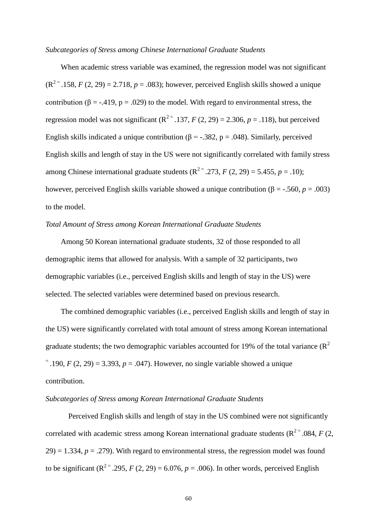#### *Subcategories of Stress among Chinese International Graduate Students*

When academic stress variable was examined, the regression model was not significant  $(R^{2}$  = .158, *F* (2, 29) = 2.718, *p* = .083); however, perceived English skills showed a unique contribution ( $\beta = -0.419$ ,  $p = 0.029$ ) to the model. With regard to environmental stress, the regression model was not significant  $(R^{2} = .137, F(2, 29) = 2.306, p = .118)$ , but perceived English skills indicated a unique contribution ( $\beta = -.382$ ,  $p = .048$ ). Similarly, perceived English skills and length of stay in the US were not significantly correlated with family stress among Chinese international graduate students  $(R^{2} = .273, F(2, 29) = 5.455, p = .10)$ ; however, perceived English skills variable showed a unique contribution (β = -.560, *p* = .003) to the model.

# *Total Amount of Stress among Korean International Graduate Students*

Among 50 Korean international graduate students, 32 of those responded to all demographic items that allowed for analysis. With a sample of 32 participants, two demographic variables (i.e., perceived English skills and length of stay in the US) were selected. The selected variables were determined based on previous research.

The combined demographic variables (i.e., perceived English skills and length of stay in the US) were significantly correlated with total amount of stress among Korean international graduate students; the two demographic variables accounted for 19% of the total variance  $(R^2)$  $=$  190, *F* (2, 29) = 3.393, *p* = .047). However, no single variable showed a unique contribution.

#### *Subcategories of Stress among Korean International Graduate Students*

Perceived English skills and length of stay in the US combined were not significantly correlated with academic stress among Korean international graduate students ( $R^{2}$  = .084, *F* (2,  $29$ ) = 1.334,  $p = .279$ ). With regard to environmental stress, the regression model was found to be significant  $(R^{2} = .295, F(2, 29) = 6.076, p = .006)$ . In other words, perceived English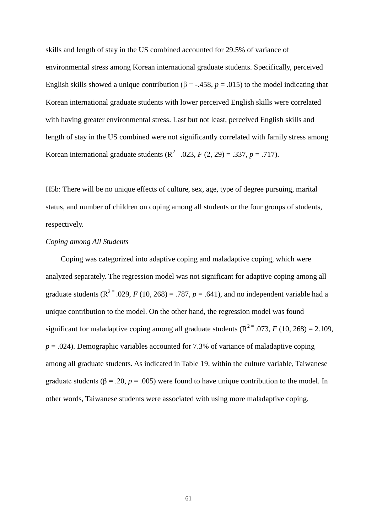skills and length of stay in the US combined accounted for 29.5% of variance of environmental stress among Korean international graduate students. Specifically, perceived English skills showed a unique contribution ( $\beta$  = -.458,  $p$  = .015) to the model indicating that Korean international graduate students with lower perceived English skills were correlated with having greater environmental stress. Last but not least, perceived English skills and length of stay in the US combined were not significantly correlated with family stress among Korean international graduate students  $(R^{2} = .023, F(2, 29) = .337, p = .717)$ .

H5b: There will be no unique effects of culture, sex, age, type of degree pursuing, marital status, and number of children on coping among all students or the four groups of students, respectively.

#### *Coping among All Students*

Coping was categorized into adaptive coping and maladaptive coping, which were analyzed separately. The regression model was not significant for adaptive coping among all graduate students ( $R^{2} = .029$ , *F* (10, 268) = .787, *p* = .641), and no independent variable had a unique contribution to the model. On the other hand, the regression model was found significant for maladaptive coping among all graduate students  $(R^{2} = .073, F(10, 268) = 2.109,$  $p = .024$ ). Demographic variables accounted for 7.3% of variance of maladaptive coping among all graduate students. As indicated in Table 19, within the culture variable, Taiwanese graduate students ( $\beta$  = .20,  $p$  = .005) were found to have unique contribution to the model. In other words, Taiwanese students were associated with using more maladaptive coping.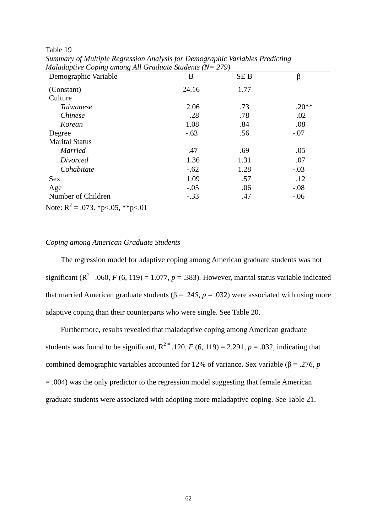Table 19

| Demographic Variable  | B      | <b>SEB</b> | β       |
|-----------------------|--------|------------|---------|
| (Constant)            | 24.16  | 1.77       |         |
| Culture               |        |            |         |
| <i>Taiwanese</i>      | 2.06   | .73        | $.20**$ |
| <i>Chinese</i>        | .28    | .78        | .02     |
| Korean                | 1.08   | .84        | .08     |
| Degree                | $-.63$ | .56        | $-.07$  |
| <b>Marital Status</b> |        |            |         |
| <b>Married</b>        | .47    | .69        | .05     |
| Divorced              | 1.36   | 1.31       | .07     |
| Cohabitate            | $-.62$ | 1.28       | $-.03$  |
| <b>Sex</b>            | 1.09   | .57        | .12     |
| Age                   | $-.05$ | .06        | $-.08$  |
| Number of Children    | $-.33$ | .47        | $-.06$  |

*Summary of Multiple Regression Analysis for Demographic Variables Predicting Maladaptive Coping among All Graduate Students (N= 279)*

Note:  $R^2 = .073$ . \*p<.05, \*\*p<.01

### *Coping among American Graduate Students*

The regression model for adaptive coping among American graduate students was not significant ( $R^{2}$ <sup>=</sup> .060, *F* (6, 119) = 1.077, *p* = .383). However, marital status variable indicated that married American graduate students ( $β = .245$ ,  $p = .032$ ) were associated with using more adaptive coping than their counterparts who were single. See Table 20.

Furthermore, results revealed that maladaptive coping among American graduate students was found to be significant,  $R^{2}$  = .120, *F* (6, 119) = 2.291, *p* = .032, indicating that combined demographic variables accounted for 12% of variance. Sex variable (β = .276, *p* = .004) was the only predictor to the regression model suggesting that female American graduate students were associated with adopting more maladaptive coping. See Table 21.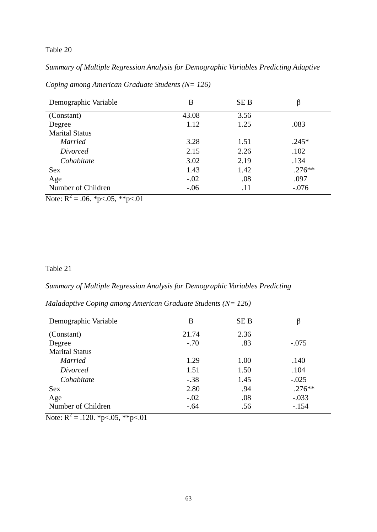# Table 20

*Summary of Multiple Regression Analysis for Demographic Variables Predicting Adaptive* 

| Demographic Variable  | B      | <b>SEB</b> | ß         |
|-----------------------|--------|------------|-----------|
| (Constant)            | 43.08  | 3.56       |           |
| Degree                | 1.12   | 1.25       | .083      |
| <b>Marital Status</b> |        |            |           |
| <b>Married</b>        | 3.28   | 1.51       | $.245*$   |
| Divorced              | 2.15   | 2.26       | .102      |
| Cohabitate            | 3.02   | 2.19       | .134      |
| <b>Sex</b>            | 1.43   | 1.42       | $.276***$ |
| Age                   | $-.02$ | .08        | .097      |
| Number of Children    | $-.06$ | .11        | $-.076$   |

*Coping among American Graduate Students (N= 126)*

Note:  $R^2 = .06$ . \*p<.05, \*\*p<.01

# Table 21

### *Summary of Multiple Regression Analysis for Demographic Variables Predicting*

# *Maladaptive Coping among American Graduate Students (N= 126)*

| Demographic Variable                           | B      | <b>SEB</b> | β        |
|------------------------------------------------|--------|------------|----------|
| (Constant)                                     | 21.74  | 2.36       |          |
| Degree                                         | $-.70$ | .83        | $-.075$  |
| <b>Marital Status</b>                          |        |            |          |
| <b>Married</b>                                 | 1.29   | 1.00       | .140     |
| Divorced                                       | 1.51   | 1.50       | .104     |
| Cohabitate                                     | $-.38$ | 1.45       | $-.025$  |
| <b>Sex</b>                                     | 2.80   | .94        | $.276**$ |
| Age                                            | $-.02$ | .08        | $-.033$  |
| Number of Children<br>$\overline{\phantom{a}}$ | $-.64$ | .56        | $-.154$  |

Note:  $R^2 = .120$ . \*p<.05, \*\*p<.01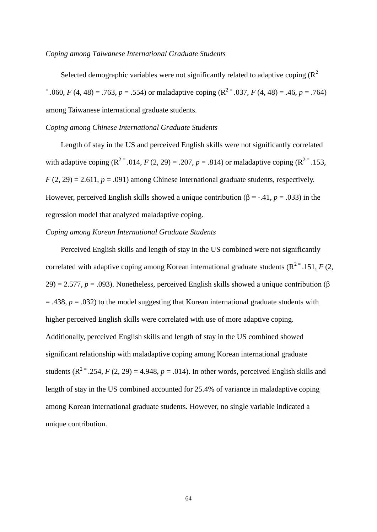#### *Coping among Taiwanese International Graduate Students*

Selected demographic variables were not significantly related to adaptive coping  $(R^2)$  $=$  .060, *F* (4, 48) = .763, *p* = .554) or maladaptive coping (R<sup>2</sup> $=$ </sup> .037, *F* (4, 48) = .46, *p* = .764) among Taiwanese international graduate students.

### *Coping among Chinese International Graduate Students*

Length of stay in the US and perceived English skills were not significantly correlated with adaptive coping  $(R^{2} = .014, F(2, 29) = .207, p = .814)$  or maladaptive coping  $(R^{2} = .153,$  $F(2, 29) = 2.611$ ,  $p = .091$ ) among Chinese international graduate students, respectively. However, perceived English skills showed a unique contribution ( $\beta$  = -.41, *p* = .033) in the regression model that analyzed maladaptive coping.

### *Coping among Korean International Graduate Students*

Perceived English skills and length of stay in the US combined were not significantly correlated with adaptive coping among Korean international graduate students  $(R^{2} = .151, F(2, .151))$ 29) = 2.577,  $p = .093$ ). Nonetheless, perceived English skills showed a unique contribution ( $\beta$ )  $=$  .438,  $p = .032$ ) to the model suggesting that Korean international graduate students with higher perceived English skills were correlated with use of more adaptive coping. Additionally, perceived English skills and length of stay in the US combined showed significant relationship with maladaptive coping among Korean international graduate students  $(R^{2} = .254, F(2, 29) = 4.948, p = .014)$ . In other words, perceived English skills and length of stay in the US combined accounted for 25.4% of variance in maladaptive coping among Korean international graduate students. However, no single variable indicated a unique contribution.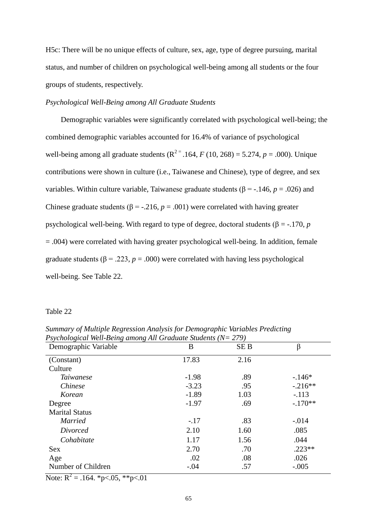H5c: There will be no unique effects of culture, sex, age, type of degree pursuing, marital status, and number of children on psychological well-being among all students or the four groups of students, respectively.

# *Psychological Well-Being among All Graduate Students*

Demographic variables were significantly correlated with psychological well-being; the combined demographic variables accounted for 16.4% of variance of psychological well-being among all graduate students  $(R^{2} = .164, F(10, 268) = 5.274, p = .000)$ . Unique contributions were shown in culture (i.e., Taiwanese and Chinese), type of degree, and sex variables. Within culture variable, Taiwanese graduate students (β = -.146, *p* = .026) and Chinese graduate students ( $\beta$  = -.216,  $p$  = .001) were correlated with having greater psychological well-being. With regard to type of degree, doctoral students (β = -.170, *p* = .004) were correlated with having greater psychological well-being. In addition, female graduate students ( $\beta$  = .223,  $p$  = .000) were correlated with having less psychological well-being. See Table 22.

#### Table 22

| Demographic Variable  | B       | <b>SEB</b> | β         |
|-----------------------|---------|------------|-----------|
| (Constant)            | 17.83   | 2.16       |           |
| Culture               |         |            |           |
| <i>Taiwanese</i>      | $-1.98$ | .89        | $-.146*$  |
| <i>Chinese</i>        | $-3.23$ | .95        | $-.216**$ |
| Korean                | $-1.89$ | 1.03       | $-.113$   |
| Degree                | $-1.97$ | .69        | $-.170**$ |
| <b>Marital Status</b> |         |            |           |
| <b>Married</b>        | $-.17$  | .83        | $-.014$   |
| Divorced              | 2.10    | 1.60       | .085      |
| Cohabitate            | 1.17    | 1.56       | .044      |
| <b>Sex</b>            | 2.70    | .70        | $.223**$  |
| Age                   | .02     | .08        | .026      |
| Number of Children    | $-.04$  | .57        | $-.005$   |

*Summary of Multiple Regression Analysis for Demographic Variables Predicting Psychological Well-Being among All Graduate Students (N= 279)*

Note:  $R^2 = .164$ . \*p<.05, \*\*p<.01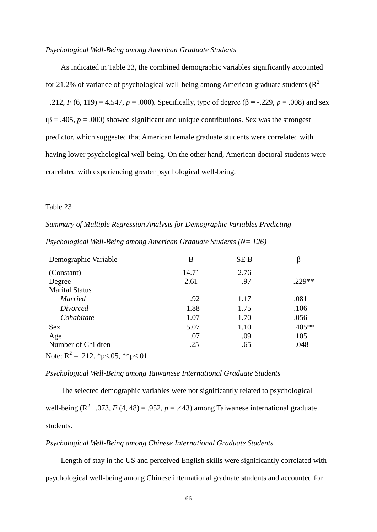#### *Psychological Well-Being among American Graduate Students*

As indicated in Table 23, the combined demographic variables significantly accounted for 21.2% of variance of psychological well-being among American graduate students ( $\mathbb{R}^2$ )  $=$  .212, *F* (6, 119) = 4.547, *p* = .000). Specifically, type of degree ( $\beta$  = -.229, *p* = .008) and sex  $(\beta = .405, p = .000)$  showed significant and unique contributions. Sex was the strongest predictor, which suggested that American female graduate students were correlated with having lower psychological well-being. On the other hand, American doctoral students were correlated with experiencing greater psychological well-being.

## Table 23

*Summary of Multiple Regression Analysis for Demographic Variables Predicting Psychological Well-Being among American Graduate Students (N= 126)*

| Demographic Variable                                                          | B       | <b>SEB</b> |           |
|-------------------------------------------------------------------------------|---------|------------|-----------|
| (Constant)                                                                    | 14.71   | 2.76       |           |
| Degree                                                                        | $-2.61$ | .97        | $-.229**$ |
| <b>Marital Status</b>                                                         |         |            |           |
| <b>Married</b>                                                                | .92     | 1.17       | .081      |
| Divorced                                                                      | 1.88    | 1.75       | .106      |
| Cohabitate                                                                    | 1.07    | 1.70       | .056      |
| <b>Sex</b>                                                                    | 5.07    | 1.10       | $.405**$  |
| Age                                                                           | .07     | .09        | .105      |
| Number of Children                                                            | $-.25$  | .65        | $-.048$   |
| $\mathbf{r}$ $\mathbf{n}^2$<br>$0.10 \text{ m}$ $0.7 \text{ m}$<br>$\sim$ 0.1 |         |            |           |

Note:  $R^2 = .212$ . \*p<.05, \*\*p<.01

## *Psychological Well-Being among Taiwanese International Graduate Students*

The selected demographic variables were not significantly related to psychological well-being  $(R^{2} = .073, F(4, 48) = .952, p = .443)$  among Taiwanese international graduate students.

#### *Psychological Well-Being among Chinese International Graduate Students*

Length of stay in the US and perceived English skills were significantly correlated with psychological well-being among Chinese international graduate students and accounted for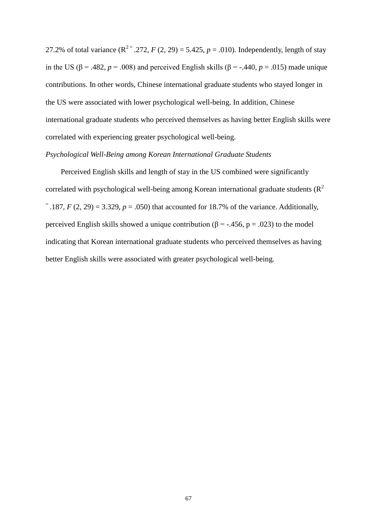27.2% of total variance  $(R^{2} = .272, F(2, 29) = 5.425, p = .010)$ . Independently, length of stay in the US ( $\beta$  = .482, *p* = .008) and perceived English skills ( $\beta$  = -.440, *p* = .015) made unique contributions. In other words, Chinese international graduate students who stayed longer in the US were associated with lower psychological well-being. In addition, Chinese international graduate students who perceived themselves as having better English skills were correlated with experiencing greater psychological well-being.

## *Psychological Well-Being among Korean International Graduate Students*

Perceived English skills and length of stay in the US combined were significantly correlated with psychological well-being among Korean international graduate students  $(R^2)$  $=$  .187, *F* (2, 29) = 3.329, *p* = .050) that accounted for 18.7% of the variance. Additionally, perceived English skills showed a unique contribution (β = -.456, p = .023) to the model indicating that Korean international graduate students who perceived themselves as having better English skills were associated with greater psychological well-being.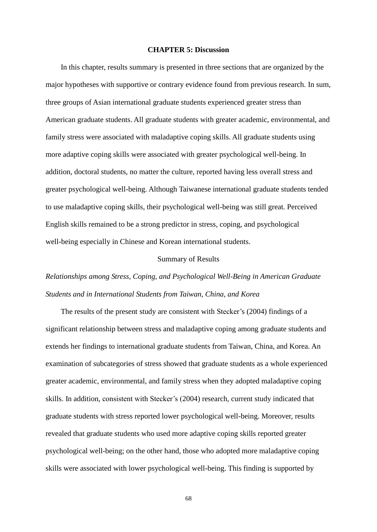#### **CHAPTER 5: Discussion**

In this chapter, results summary is presented in three sections that are organized by the major hypotheses with supportive or contrary evidence found from previous research. In sum, three groups of Asian international graduate students experienced greater stress than American graduate students. All graduate students with greater academic, environmental, and family stress were associated with maladaptive coping skills. All graduate students using more adaptive coping skills were associated with greater psychological well-being. In addition, doctoral students, no matter the culture, reported having less overall stress and greater psychological well-being. Although Taiwanese international graduate students tended to use maladaptive coping skills, their psychological well-being was still great. Perceived English skills remained to be a strong predictor in stress, coping, and psychological well-being especially in Chinese and Korean international students.

#### Summary of Results

# *Relationships among Stress, Coping, and Psychological Well-Being in American Graduate Students and in International Students from Taiwan, China, and Korea*

The results of the present study are consistent with Stecker's (2004) findings of a significant relationship between stress and maladaptive coping among graduate students and extends her findings to international graduate students from Taiwan, China, and Korea. An examination of subcategories of stress showed that graduate students as a whole experienced greater academic, environmental, and family stress when they adopted maladaptive coping skills. In addition, consistent with Stecker's (2004) research, current study indicated that graduate students with stress reported lower psychological well-being. Moreover, results revealed that graduate students who used more adaptive coping skills reported greater psychological well-being; on the other hand, those who adopted more maladaptive coping skills were associated with lower psychological well-being. This finding is supported by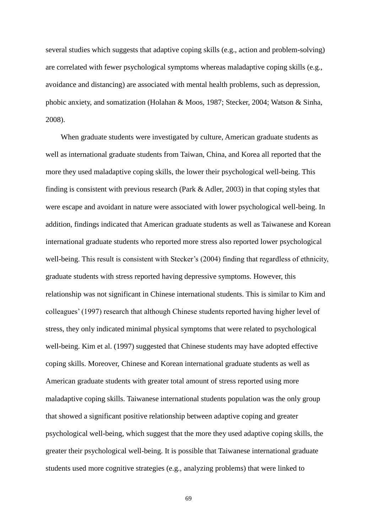several studies which suggests that adaptive coping skills (e.g., action and problem-solving) are correlated with fewer psychological symptoms whereas maladaptive coping skills (e.g., avoidance and distancing) are associated with mental health problems, such as depression, phobic anxiety, and somatization (Holahan & Moos, 1987; Stecker, 2004; Watson & Sinha, 2008).

When graduate students were investigated by culture, American graduate students as well as international graduate students from Taiwan, China, and Korea all reported that the more they used maladaptive coping skills, the lower their psychological well-being. This finding is consistent with previous research (Park & Adler, 2003) in that coping styles that were escape and avoidant in nature were associated with lower psychological well-being. In addition, findings indicated that American graduate students as well as Taiwanese and Korean international graduate students who reported more stress also reported lower psychological well-being. This result is consistent with Stecker's (2004) finding that regardless of ethnicity, graduate students with stress reported having depressive symptoms. However, this relationship was not significant in Chinese international students. This is similar to Kim and colleagues' (1997) research that although Chinese students reported having higher level of stress, they only indicated minimal physical symptoms that were related to psychological well-being. Kim et al. (1997) suggested that Chinese students may have adopted effective coping skills. Moreover, Chinese and Korean international graduate students as well as American graduate students with greater total amount of stress reported using more maladaptive coping skills. Taiwanese international students population was the only group that showed a significant positive relationship between adaptive coping and greater psychological well-being, which suggest that the more they used adaptive coping skills, the greater their psychological well-being. It is possible that Taiwanese international graduate students used more cognitive strategies (e.g., analyzing problems) that were linked to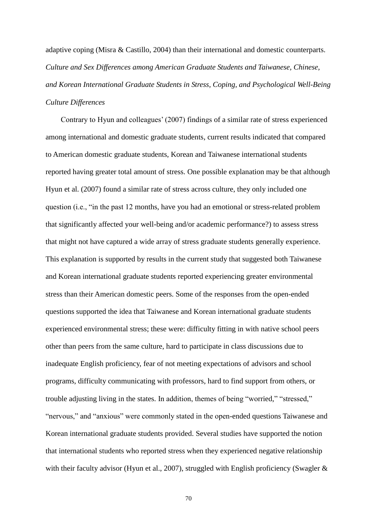adaptive coping (Misra & Castillo, 2004) than their international and domestic counterparts. *Culture and Sex Differences among American Graduate Students and Taiwanese, Chinese, and Korean International Graduate Students in Stress, Coping, and Psychological Well-Being Culture Differences*

Contrary to Hyun and colleagues' (2007) findings of a similar rate of stress experienced among international and domestic graduate students, current results indicated that compared to American domestic graduate students, Korean and Taiwanese international students reported having greater total amount of stress. One possible explanation may be that although Hyun et al. (2007) found a similar rate of stress across culture, they only included one question (i.e., "in the past 12 months, have you had an emotional or stress-related problem that significantly affected your well-being and/or academic performance?) to assess stress that might not have captured a wide array of stress graduate students generally experience. This explanation is supported by results in the current study that suggested both Taiwanese and Korean international graduate students reported experiencing greater environmental stress than their American domestic peers. Some of the responses from the open-ended questions supported the idea that Taiwanese and Korean international graduate students experienced environmental stress; these were: difficulty fitting in with native school peers other than peers from the same culture, hard to participate in class discussions due to inadequate English proficiency, fear of not meeting expectations of advisors and school programs, difficulty communicating with professors, hard to find support from others, or trouble adjusting living in the states. In addition, themes of being "worried," "stressed," "nervous," and "anxious" were commonly stated in the open-ended questions Taiwanese and Korean international graduate students provided. Several studies have supported the notion that international students who reported stress when they experienced negative relationship with their faculty advisor (Hyun et al., 2007), struggled with English proficiency (Swagler &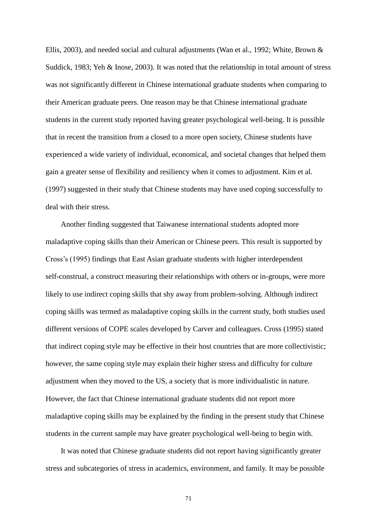Ellis, 2003), and needed social and cultural adjustments (Wan et al., 1992; White, Brown & Suddick, 1983; Yeh & Inose, 2003). It was noted that the relationship in total amount of stress was not significantly different in Chinese international graduate students when comparing to their American graduate peers. One reason may be that Chinese international graduate students in the current study reported having greater psychological well-being. It is possible that in recent the transition from a closed to a more open society, Chinese students have experienced a wide variety of individual, economical, and societal changes that helped them gain a greater sense of flexibility and resiliency when it comes to adjustment. Kim et al. (1997) suggested in their study that Chinese students may have used coping successfully to deal with their stress.

Another finding suggested that Taiwanese international students adopted more maladaptive coping skills than their American or Chinese peers. This result is supported by Cross's (1995) findings that East Asian graduate students with higher interdependent self-construal, a construct measuring their relationships with others or in-groups, were more likely to use indirect coping skills that shy away from problem-solving. Although indirect coping skills was termed as maladaptive coping skills in the current study, both studies used different versions of COPE scales developed by Carver and colleagues. Cross (1995) stated that indirect coping style may be effective in their host countries that are more collectivistic; however, the same coping style may explain their higher stress and difficulty for culture adjustment when they moved to the US, a society that is more individualistic in nature. However, the fact that Chinese international graduate students did not report more maladaptive coping skills may be explained by the finding in the present study that Chinese students in the current sample may have greater psychological well-being to begin with.

It was noted that Chinese graduate students did not report having significantly greater stress and subcategories of stress in academics, environment, and family. It may be possible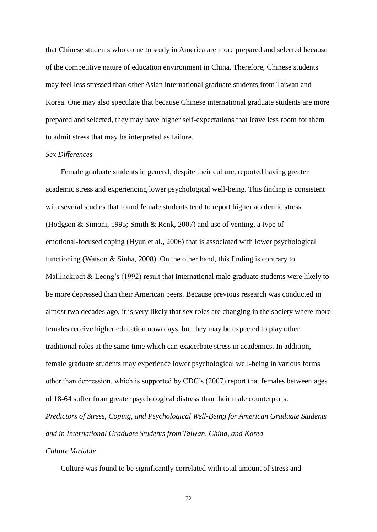that Chinese students who come to study in America are more prepared and selected because of the competitive nature of education environment in China. Therefore, Chinese students may feel less stressed than other Asian international graduate students from Taiwan and Korea. One may also speculate that because Chinese international graduate students are more prepared and selected, they may have higher self-expectations that leave less room for them to admit stress that may be interpreted as failure.

#### *Sex Differences*

Female graduate students in general, despite their culture, reported having greater academic stress and experiencing lower psychological well-being. This finding is consistent with several studies that found female students tend to report higher academic stress (Hodgson & Simoni, 1995; Smith & Renk, 2007) and use of venting, a type of emotional-focused coping (Hyun et al., 2006) that is associated with lower psychological functioning (Watson & Sinha, 2008). On the other hand, this finding is contrary to Mallinckrodt & Leong's (1992) result that international male graduate students were likely to be more depressed than their American peers. Because previous research was conducted in almost two decades ago, it is very likely that sex roles are changing in the society where more females receive higher education nowadays, but they may be expected to play other traditional roles at the same time which can exacerbate stress in academics. In addition, female graduate students may experience lower psychological well-being in various forms other than depression, which is supported by CDC's (2007) report that females between ages of 18-64 suffer from greater psychological distress than their male counterparts. *Predictors of Stress, Coping, and Psychological Well-Being for American Graduate Students and in International Graduate Students from Taiwan, China, and Korea*

# *Culture Variable*

Culture was found to be significantly correlated with total amount of stress and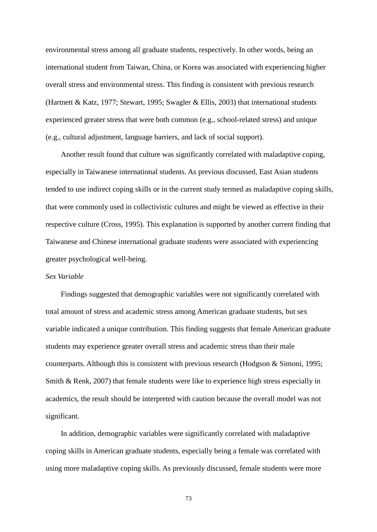environmental stress among all graduate students, respectively. In other words, being an international student from Taiwan, China, or Korea was associated with experiencing higher overall stress and environmental stress. This finding is consistent with previous research (Hartnett & Katz, 1977; Stewart, 1995; Swagler & Ellis, 2003) that international students experienced greater stress that were both common (e.g., school-related stress) and unique (e.g., cultural adjustment, language barriers, and lack of social support).

Another result found that culture was significantly correlated with maladaptive coping, especially in Taiwanese international students. As previous discussed, East Asian students tended to use indirect coping skills or in the current study termed as maladaptive coping skills, that were commonly used in collectivistic cultures and might be viewed as effective in their respective culture (Cross, 1995). This explanation is supported by another current finding that Taiwanese and Chinese international graduate students were associated with experiencing greater psychological well-being.

## *Sex Variable*

Findings suggested that demographic variables were not significantly correlated with total amount of stress and academic stress among American graduate students, but sex variable indicated a unique contribution. This finding suggests that female American graduate students may experience greater overall stress and academic stress than their male counterparts. Although this is consistent with previous research (Hodgson & Simoni, 1995; Smith & Renk, 2007) that female students were like to experience high stress especially in academics, the result should be interpreted with caution because the overall model was not significant.

In addition, demographic variables were significantly correlated with maladaptive coping skills in American graduate students, especially being a female was correlated with using more maladaptive coping skills. As previously discussed, female students were more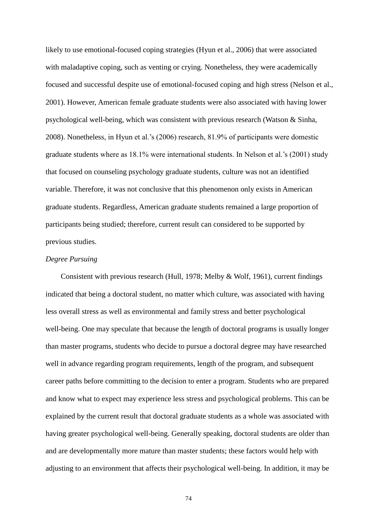likely to use emotional-focused coping strategies (Hyun et al., 2006) that were associated with maladaptive coping, such as venting or crying. Nonetheless, they were academically focused and successful despite use of emotional-focused coping and high stress (Nelson et al., 2001). However, American female graduate students were also associated with having lower psychological well-being, which was consistent with previous research (Watson & Sinha, 2008). Nonetheless, in Hyun et al.'s (2006) research, 81.9% of participants were domestic graduate students where as 18.1% were international students. In Nelson et al.'s (2001) study that focused on counseling psychology graduate students, culture was not an identified variable. Therefore, it was not conclusive that this phenomenon only exists in American graduate students. Regardless, American graduate students remained a large proportion of participants being studied; therefore, current result can considered to be supported by previous studies.

#### *Degree Pursuing*

Consistent with previous research (Hull, 1978; Melby & Wolf, 1961), current findings indicated that being a doctoral student, no matter which culture, was associated with having less overall stress as well as environmental and family stress and better psychological well-being. One may speculate that because the length of doctoral programs is usually longer than master programs, students who decide to pursue a doctoral degree may have researched well in advance regarding program requirements, length of the program, and subsequent career paths before committing to the decision to enter a program. Students who are prepared and know what to expect may experience less stress and psychological problems. This can be explained by the current result that doctoral graduate students as a whole was associated with having greater psychological well-being. Generally speaking, doctoral students are older than and are developmentally more mature than master students; these factors would help with adjusting to an environment that affects their psychological well-being. In addition, it may be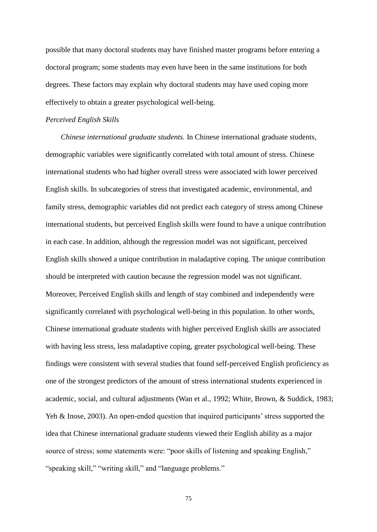possible that many doctoral students may have finished master programs before entering a doctoral program; some students may even have been in the same institutions for both degrees. These factors may explain why doctoral students may have used coping more effectively to obtain a greater psychological well-being.

#### *Perceived English Skills*

*Chinese international graduate students.* In Chinese international graduate students, demographic variables were significantly correlated with total amount of stress. Chinese international students who had higher overall stress were associated with lower perceived English skills. In subcategories of stress that investigated academic, environmental, and family stress, demographic variables did not predict each category of stress among Chinese international students, but perceived English skills were found to have a unique contribution in each case. In addition, although the regression model was not significant, perceived English skills showed a unique contribution in maladaptive coping. The unique contribution should be interpreted with caution because the regression model was not significant. Moreover, Perceived English skills and length of stay combined and independently were significantly correlated with psychological well-being in this population. In other words, Chinese international graduate students with higher perceived English skills are associated with having less stress, less maladaptive coping, greater psychological well-being. These findings were consistent with several studies that found self-perceived English proficiency as one of the strongest predictors of the amount of stress international students experienced in academic, social, and cultural adjustments (Wan et al., 1992; White, Brown, & Suddick, 1983; Yeh & Inose, 2003). An open-ended question that inquired participants' stress supported the idea that Chinese international graduate students viewed their English ability as a major source of stress; some statements were: "poor skills of listening and speaking English," "speaking skill," "writing skill," and "language problems."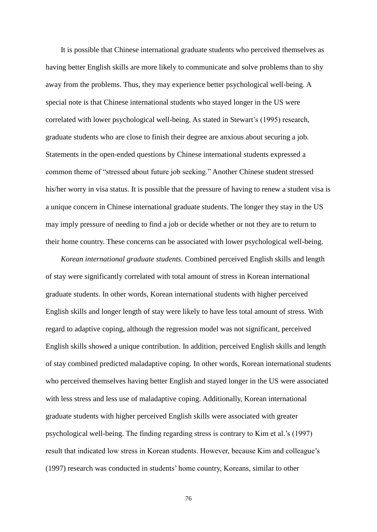It is possible that Chinese international graduate students who perceived themselves as having better English skills are more likely to communicate and solve problems than to shy away from the problems. Thus, they may experience better psychological well-being. A special note is that Chinese international students who stayed longer in the US were correlated with lower psychological well-being. As stated in Stewart's (1995) research, graduate students who are close to finish their degree are anxious about securing a job. Statements in the open-ended questions by Chinese international students expressed a common theme of "stressed about future job seeking." Another Chinese student stressed his/her worry in visa status. It is possible that the pressure of having to renew a student visa is a unique concern in Chinese international graduate students. The longer they stay in the US may imply pressure of needing to find a job or decide whether or not they are to return to their home country. These concerns can be associated with lower psychological well-being.

*Korean international graduate students.* Combined perceived English skills and length of stay were significantly correlated with total amount of stress in Korean international graduate students. In other words, Korean international students with higher perceived English skills and longer length of stay were likely to have less total amount of stress. With regard to adaptive coping, although the regression model was not significant, perceived English skills showed a unique contribution. In addition, perceived English skills and length of stay combined predicted maladaptive coping. In other words, Korean international students who perceived themselves having better English and stayed longer in the US were associated with less stress and less use of maladaptive coping. Additionally, Korean international graduate students with higher perceived English skills were associated with greater psychological well-being. The finding regarding stress is contrary to Kim et al.'s (1997) result that indicated low stress in Korean students. However, because Kim and colleague's (1997) research was conducted in students' home country, Koreans, similar to other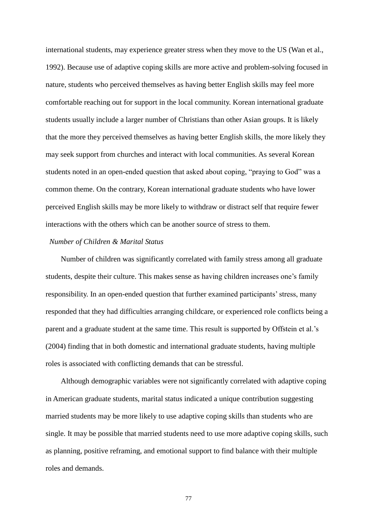international students, may experience greater stress when they move to the US (Wan et al., 1992). Because use of adaptive coping skills are more active and problem-solving focused in nature, students who perceived themselves as having better English skills may feel more comfortable reaching out for support in the local community. Korean international graduate students usually include a larger number of Christians than other Asian groups. It is likely that the more they perceived themselves as having better English skills, the more likely they may seek support from churches and interact with local communities. As several Korean students noted in an open-ended question that asked about coping, "praying to God" was a common theme. On the contrary, Korean international graduate students who have lower perceived English skills may be more likely to withdraw or distract self that require fewer interactions with the others which can be another source of stress to them.

#### *Number of Children & Marital Status*

Number of children was significantly correlated with family stress among all graduate students, despite their culture. This makes sense as having children increases one's family responsibility. In an open-ended question that further examined participants' stress, many responded that they had difficulties arranging childcare, or experienced role conflicts being a parent and a graduate student at the same time. This result is supported by Offstein et al.'s (2004) finding that in both domestic and international graduate students, having multiple roles is associated with conflicting demands that can be stressful.

Although demographic variables were not significantly correlated with adaptive coping in American graduate students, marital status indicated a unique contribution suggesting married students may be more likely to use adaptive coping skills than students who are single. It may be possible that married students need to use more adaptive coping skills, such as planning, positive reframing, and emotional support to find balance with their multiple roles and demands.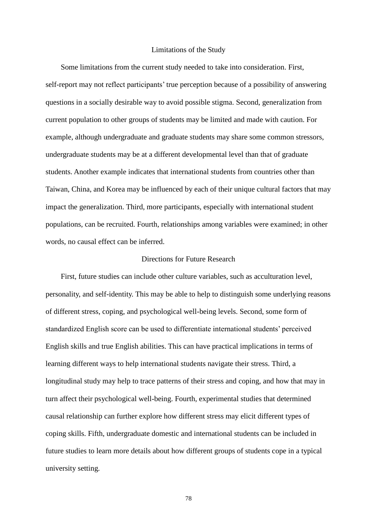#### Limitations of the Study

Some limitations from the current study needed to take into consideration. First, self-report may not reflect participants' true perception because of a possibility of answering questions in a socially desirable way to avoid possible stigma. Second, generalization from current population to other groups of students may be limited and made with caution. For example, although undergraduate and graduate students may share some common stressors, undergraduate students may be at a different developmental level than that of graduate students. Another example indicates that international students from countries other than Taiwan, China, and Korea may be influenced by each of their unique cultural factors that may impact the generalization. Third, more participants, especially with international student populations, can be recruited. Fourth, relationships among variables were examined; in other words, no causal effect can be inferred.

## Directions for Future Research

First, future studies can include other culture variables, such as acculturation level, personality, and self-identity. This may be able to help to distinguish some underlying reasons of different stress, coping, and psychological well-being levels. Second, some form of standardized English score can be used to differentiate international students' perceived English skills and true English abilities. This can have practical implications in terms of learning different ways to help international students navigate their stress. Third, a longitudinal study may help to trace patterns of their stress and coping, and how that may in turn affect their psychological well-being. Fourth, experimental studies that determined causal relationship can further explore how different stress may elicit different types of coping skills. Fifth, undergraduate domestic and international students can be included in future studies to learn more details about how different groups of students cope in a typical university setting.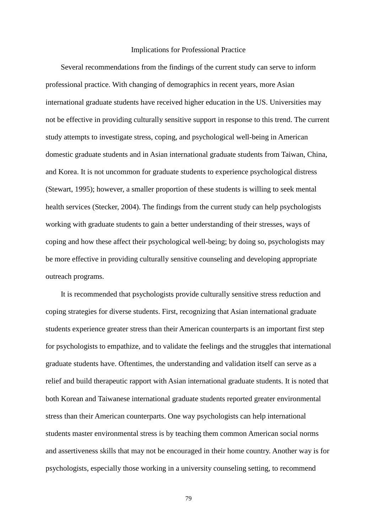#### Implications for Professional Practice

Several recommendations from the findings of the current study can serve to inform professional practice. With changing of demographics in recent years, more Asian international graduate students have received higher education in the US. Universities may not be effective in providing culturally sensitive support in response to this trend. The current study attempts to investigate stress, coping, and psychological well-being in American domestic graduate students and in Asian international graduate students from Taiwan, China, and Korea. It is not uncommon for graduate students to experience psychological distress (Stewart, 1995); however, a smaller proportion of these students is willing to seek mental health services (Stecker, 2004). The findings from the current study can help psychologists working with graduate students to gain a better understanding of their stresses, ways of coping and how these affect their psychological well-being; by doing so, psychologists may be more effective in providing culturally sensitive counseling and developing appropriate outreach programs.

It is recommended that psychologists provide culturally sensitive stress reduction and coping strategies for diverse students. First, recognizing that Asian international graduate students experience greater stress than their American counterparts is an important first step for psychologists to empathize, and to validate the feelings and the struggles that international graduate students have. Oftentimes, the understanding and validation itself can serve as a relief and build therapeutic rapport with Asian international graduate students. It is noted that both Korean and Taiwanese international graduate students reported greater environmental stress than their American counterparts. One way psychologists can help international students master environmental stress is by teaching them common American social norms and assertiveness skills that may not be encouraged in their home country. Another way is for psychologists, especially those working in a university counseling setting, to recommend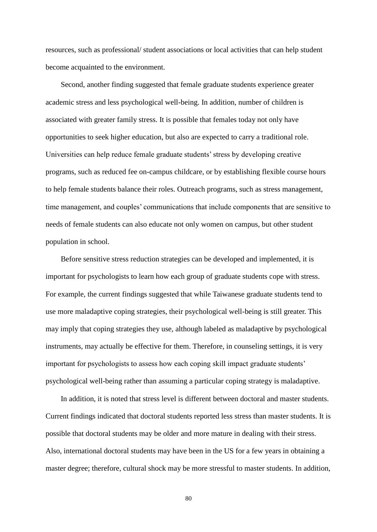resources, such as professional/ student associations or local activities that can help student become acquainted to the environment.

Second, another finding suggested that female graduate students experience greater academic stress and less psychological well-being. In addition, number of children is associated with greater family stress. It is possible that females today not only have opportunities to seek higher education, but also are expected to carry a traditional role. Universities can help reduce female graduate students' stress by developing creative programs, such as reduced fee on-campus childcare, or by establishing flexible course hours to help female students balance their roles. Outreach programs, such as stress management, time management, and couples' communications that include components that are sensitive to needs of female students can also educate not only women on campus, but other student population in school.

Before sensitive stress reduction strategies can be developed and implemented, it is important for psychologists to learn how each group of graduate students cope with stress. For example, the current findings suggested that while Taiwanese graduate students tend to use more maladaptive coping strategies, their psychological well-being is still greater. This may imply that coping strategies they use, although labeled as maladaptive by psychological instruments, may actually be effective for them. Therefore, in counseling settings, it is very important for psychologists to assess how each coping skill impact graduate students' psychological well-being rather than assuming a particular coping strategy is maladaptive.

In addition, it is noted that stress level is different between doctoral and master students. Current findings indicated that doctoral students reported less stress than master students. It is possible that doctoral students may be older and more mature in dealing with their stress. Also, international doctoral students may have been in the US for a few years in obtaining a master degree; therefore, cultural shock may be more stressful to master students. In addition,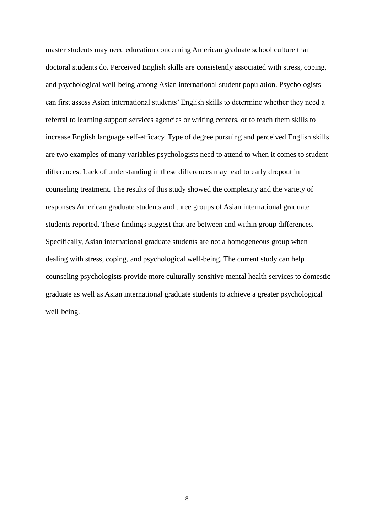master students may need education concerning American graduate school culture than doctoral students do. Perceived English skills are consistently associated with stress, coping, and psychological well-being among Asian international student population. Psychologists can first assess Asian international students' English skills to determine whether they need a referral to learning support services agencies or writing centers, or to teach them skills to increase English language self-efficacy. Type of degree pursuing and perceived English skills are two examples of many variables psychologists need to attend to when it comes to student differences. Lack of understanding in these differences may lead to early dropout in counseling treatment. The results of this study showed the complexity and the variety of responses American graduate students and three groups of Asian international graduate students reported. These findings suggest that are between and within group differences. Specifically, Asian international graduate students are not a homogeneous group when dealing with stress, coping, and psychological well-being. The current study can help counseling psychologists provide more culturally sensitive mental health services to domestic graduate as well as Asian international graduate students to achieve a greater psychological well-being.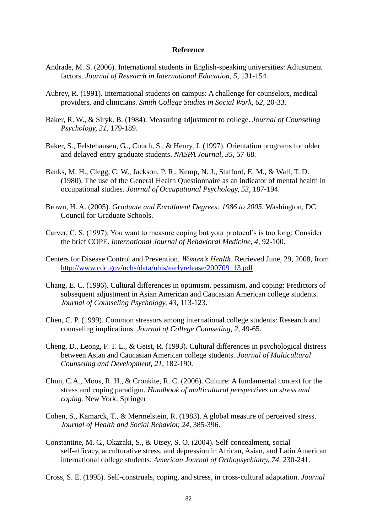#### **Reference**

- Andrade, M. S. (2006). International students in English-speaking universities: Adjustment factors. *Journal of Research in International Education, 5*, 131-154.
- Aubrey, R. (1991). International students on campus: A challenge for counselors, medical providers, and clinicians. *Smith College Studies in Social Work, 62*, 20-33.
- Baker, R. W., & Siryk, B. (1984). Measuring adjustment to college. *Journal of Counseling Psychology, 31*, 179-189.
- Baker, S., Felstehausen, G.., Couch, S., & Henry, J. (1997). Orientation programs for older and delayed-entry graduate students. *NASPA Journal, 35*, 57-68.
- Banks, M. H., Clegg, C. W., Jackson, P. R., Kemp, N. J., Stafford, E. M., & Wall, T. D. (1980). The use of the General Health Questionnaire as an indicator of mental health in occupational studies. *Journal of Occupational Psychology, 53*, 187-194.
- Brown, H. A. (2005). *Graduate and Enrollment Degrees: 1986 to 2005.* Washington, DC: Council for Graduate Schools.
- Carver, C. S. (1997). You want to measure coping but your protocol's is too long: Consider the brief COPE. *International Journal of Behavioral Medicine, 4*, 92-100.
- Centers for Disease Control and Prevention. *Women's Health.* Retrieved June, 29, 2008, from [http://www.cdc.gov/nchs/data/nhis/earlyrelease/200709\\_13.pdf](http://www.cdc.gov/nchs/data/nhis/earlyrelease/200709_13.pdf)
- Chang, E. C. (1996). Cultural differences in optimism, pessimism, and coping: Predictors of subsequent adjustment in Asian American and Caucasian American college students. *Journal of Counseling Psychology, 43*, 113-123.
- Chen, C. P. (1999). Common stressors among international college students: Research and counseling implications. *Journal of College Counseling, 2*, 49-65.
- Cheng, D., Leong, F. T. L., & Geist, R. (1993). Cultural differences in psychological distress between Asian and Caucasian American college students. *Journal of Multicultural Counseling and Development, 21*, 182-190.
- Chun, C.A., Moos, R. H., & Cronkite, R. C. (2006). Culture: A fundamental context for the stress and coping paradigm. *Handbook of multicultural perspectives on stress and coping.* New York: Springer
- Cohen, S., Kamarck, T., & Mermelstein, R. (1983). A global measure of perceived stress. *Journal of Health and Social Behavior, 24*, 385-396.
- Constantine, M. G., Okazaki, S., & Utsey, S. O. (2004). Self-concealment, social self-efficacy, acculturative stress, and depression in African, Asian, and Latin American international college students. *American Journal of Orthopsychiatry, 74,* 230-241.

Cross, S. E. (1995). Self-construals, coping, and stress, in cross-cultural adaptation. *Journal*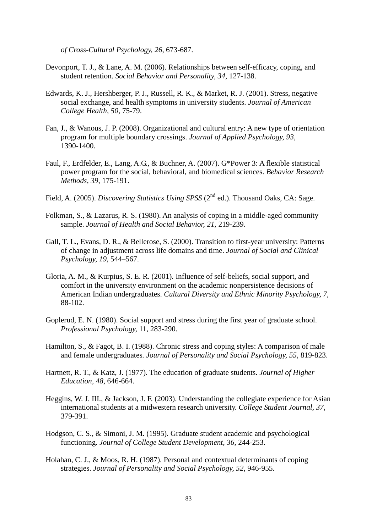*of Cross-Cultural Psychology, 26*, 673-687.

- Devonport, T. J., & Lane, A. M. (2006). Relationships between self-efficacy, coping, and student retention. *Social Behavior and Personality, 34*, 127-138.
- Edwards, K. J., Hershberger, P. J., Russell, R. K., & Market, R. J. (2001). Stress, negative social exchange, and health symptoms in university students. *Journal of American College Health, 50,* 75-79.
- Fan, J., & Wanous, J. P. (2008). Organizational and cultural entry: A new type of orientation program for multiple boundary crossings. *Journal of Applied Psychology, 93*, 1390-1400.
- Faul, F., Erdfelder, E., Lang, A.G., & Buchner, A. (2007). G\*Power 3: A flexible statistical power program for the social, behavioral, and biomedical sciences. *Behavior Research Methods, 39*, 175-191.
- Field, A. (2005). *Discovering Statistics Using SPSS* (2<sup>nd</sup> ed.). Thousand Oaks, CA: Sage.
- Folkman, S., & Lazarus, R. S. (1980). An analysis of coping in a middle-aged community sample. *Journal of Health and Social Behavior, 21,* 219-239.
- Gall, T. L., Evans, D. R., & Bellerose, S. (2000). Transition to first-year university: Patterns of change in adjustment across life domains and time. *Journal of Social and Clinical Psychology, 19,* 544–567.
- Gloria, A. M., & Kurpius, S. E. R. (2001). Influence of self-beliefs, social support, and comfort in the university environment on the academic nonpersistence decisions of American Indian undergraduates. *Cultural Diversity and Ethnic Minority Psychology, 7,* 88-102.
- Goplerud, E. N. (1980). Social support and stress during the first year of graduate school. *Professional Psychology,* 11, 283-290.
- Hamilton, S., & Fagot, B. I. (1988). Chronic stress and coping styles: A comparison of male and female undergraduates*. Journal of Personality and Social Psychology, 55,* 819-823.
- Hartnett, R. T., & Katz, J. (1977). The education of graduate students. *Journal of Higher Education, 48*, 646-664.
- Heggins, W. J. III., & Jackson, J. F. (2003). Understanding the collegiate experience for Asian international students at a midwestern research university. *College Student Journal, 37*, 379-391.
- Hodgson, C. S., & Simoni, J. M. (1995). Graduate student academic and psychological functioning. *Journal of College Student Development, 36*, 244-253.
- Holahan, C. J., & Moos, R. H. (1987). Personal and contextual determinants of coping strategies. *Journal of Personality and Social Psychology, 52*, 946-955.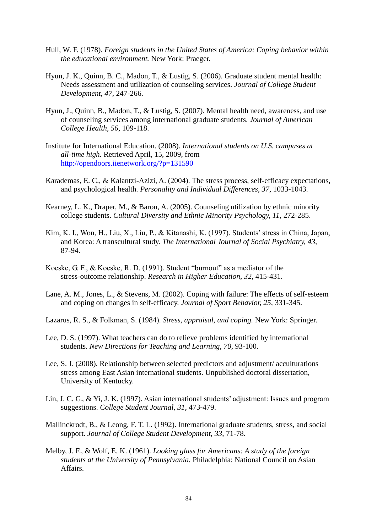- Hull, W. F. (1978). *Foreign students in the United States of America: Coping behavior within the educational environment.* New York: Praeger.
- Hyun, J. K., Quinn, B. C., Madon, T., & Lustig, S. (2006). Graduate student mental health: Needs assessment and utilization of counseling services. *Journal of College Student Development, 47*, 247-266.
- Hyun, J., Quinn, B., Madon, T., & Lustig, S. (2007). Mental health need, awareness, and use of counseling services among international graduate students. *Journal of American College Health, 56*, 109-118.
- Institute for International Education. (2008). *International students on U.S. campuses at all-time high.* Retrieved April, 15, 2009, from <http://opendoors.iienetwork.org/?p=131590>
- Karademas, E. C., & Kalantzi-Azizi, A. (2004). The stress process, self-efficacy expectations, and psychological health. *Personality and Individual Differences, 37*, 1033-1043.
- Kearney, L. K., Draper, M., & Baron, A. (2005). Counseling utilization by ethnic minority college students. *Cultural Diversity and Ethnic Minority Psychology, 11,* 272-285.
- Kim, K. I., Won, H., Liu, X., Liu, P., & Kitanashi, K. (1997). Students' stress in China, Japan, and Korea: A transcultural study. *The International Journal of Social Psychiatry, 43,* 87-94.
- Koeske, G. F., & Koeske, R. D. (1991). Student "burnout" as a mediator of the stress-outcome relationship. *Research in Higher Education, 32*, 415-431.
- Lane, A. M., Jones, L., & Stevens, M. (2002). Coping with failure: The effects of self-esteem and coping on changes in self-efficacy. *Journal of Sport Behavior, 25*, 331-345.
- Lazarus, R. S., & Folkman, S. (1984). *Stress, appraisal, and coping.* New York: Springer.
- Lee, D. S. (1997). What teachers can do to relieve problems identified by international students. *New Directions for Teaching and Learning, 70*, 93-100.
- Lee, S. J. (2008). Relationship between selected predictors and adjustment/ acculturations stress among East Asian international students. Unpublished doctoral dissertation, University of Kentucky.
- Lin, J. C. G., & Yi, J. K. (1997). Asian international students' adjustment: Issues and program suggestions. *College Student Journal, 31,* 473-479.
- Mallinckrodt, B., & Leong, F. T. L. (1992). International graduate students, stress, and social support. *Journal of College Student Development, 33*, 71-78.
- Melby, J. F., & Wolf, E. K. (1961). *Looking glass for Americans: A study of the foreign students at the University of Pennsylvania.* Philadelphia: National Council on Asian Affairs.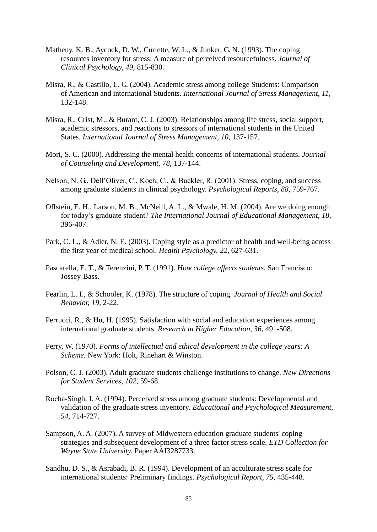- Matheny, K. B., Aycock, D. W., Curlette, W. L., & Junker, G. N. (1993). The coping resources inventory for stress: A measure of perceived resourcefulness. *Journal of Clinical Psychology, 49*, 815-830.
- Misra, R., & Castillo, L. G. (2004). Academic stress among college Students: Comparison of American and international Students. *International Journal of Stress Management, 11,* 132-148.
- Misra, R., Crist, M., & Burant, C. J. (2003). Relationships among life stress, social support, academic stressors, and reactions to stressors of international students in the United States. *International Journal of Stress Management, 10*, 137-157.
- Mori, S. C. (2000). Addressing the mental health concerns of international students. *Journal of Counseling and Development, 78,* 137-144.
- Nelson, N. G., Dell'Oliver, C., Koch, C., & Buckler, R. (2001). Stress, coping, and success among graduate students in clinical psychology. *Psychological Reports, 88*, 759-767.
- Offstein, E. H., Larson, M. B., McNeill, A. L., & Mwale, H. M. (2004). Are we doing enough for today's graduate student? *The International Journal of Educational Management, 18*, 396-407.
- Park, C. L., & Adler, N. E. (2003). Coping style as a predictor of health and well-being across the first year of medical school. *Health Psychology, 22*, 627-631.
- Pascarella, E. T., & Terenzini, P. T. (1991). *How college affects students.* San Francisco: Jossey-Bass.
- Pearlin, L. I., & Schooler, K. (1978). The structure of coping. *Journal of Health and Social Behavior, 19*, 2-22.
- Perrucci, R., & Hu, H. (1995). Satisfaction with social and education experiences among international graduate students. *Research in Higher Education, 36*, 491-508.
- Perry, W. (1970). *Forms of intellectual and ethical development in the college years: A Scheme.* New York: Holt, Rinehart & Winston.
- Polson, C. J. (2003). Adult graduate students challenge institutions to change. *New Directions for Student Services, 102*, 59-68.
- Rocha-Singh, I. A. (1994). Perceived stress among graduate students: Developmental and validation of the graduate stress inventory. *Educational and Psychological Measurement, 54*, 714-727.
- Sampson, A. A. (2007). A survey of Midwestern education graduate students' coping strategies and subsequent development of a three factor stress scale. *ETD Collection for Wayne State University.* Paper AAI3287733.
- Sandhu, D. S., & Asrabadi, B. R. (1994). Development of an acculturate stress scale for international students: Preliminary findings. *Psychological Report, 75,* 435-448.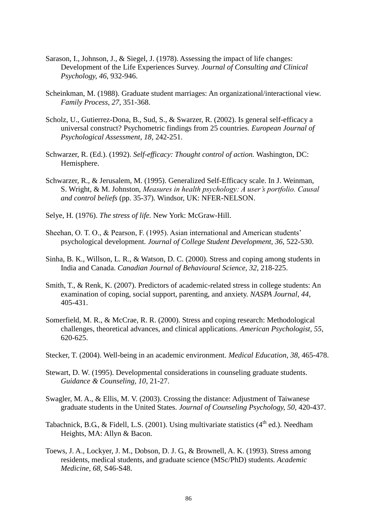- Sarason, I., Johnson, J., & Siegel, J. (1978). Assessing the impact of life changes: Development of the Life Experiences Survey. *Journal of Consulting and Clinical Psychology, 46*, 932-946.
- Scheinkman, M. (1988). Graduate student marriages: An organizational/interactional view. *Family Process, 27*, 351-368.
- Scholz, U., Gutierrez-Dona, B., Sud, S., & Swarzer, R. (2002). Is general self-efficacy a universal construct? Psychometric findings from 25 countries. *European Journal of Psychological Assessment, 18*, 242-251.
- Schwarzer, R. (Ed.). (1992). *Self-efficacy: Thought control of action.* Washington, DC: Hemisphere.
- Schwarzer, R., & Jerusalem, M. (1995). Generalized Self-Efficacy scale. In J. Weinman, S. Wright, & M. Johnston, *Measures in health psychology: A user's portfolio. Causal and control beliefs* (pp. 35-37). Windsor, UK: NFER-NELSON.
- Selye, H. (1976). *The stress of life.* New York: McGraw-Hill.
- Sheehan, O. T. O., & Pearson, F. (1995). Asian international and American students' psychological development. *Journal of College Student Development, 36*, 522-530.
- Sinha, B. K., Willson, L. R., & Watson, D. C. (2000). Stress and coping among students in India and Canada. *Canadian Journal of Behavioural Science, 32*, 218-225.
- Smith, T., & Renk, K. (2007). Predictors of academic-related stress in college students: An examination of coping, social support, parenting, and anxiety. *NASPA Journal, 44*, 405-431.
- Somerfield, M. R., & McCrae, R. R. (2000). Stress and coping research: Methodological challenges, theoretical advances, and clinical applications. *American Psychologist, 55*, 620-625.
- Stecker, T. (2004). Well-being in an academic environment. *Medical Education, 38*, 465-478.
- Stewart, D. W. (1995). Developmental considerations in counseling graduate students. *Guidance & Counseling, 10*, 21-27.
- Swagler, M. A., & Ellis, M. V. (2003). Crossing the distance: Adjustment of Taiwanese graduate students in the United States. *Journal of Counseling Psychology, 50,* 420-437.
- Tabachnick, B.G., & Fidell, L.S. (2001). Using multivariate statistics  $(4<sup>th</sup>$  ed.). Needham Heights, MA: Allyn & Bacon.
- Toews, J. A., Lockyer, J. M., Dobson, D. J. G., & Brownell, A. K. (1993). Stress among residents, medical students, and graduate science (MSc/PhD) students*. Academic Medicine, 68*, S46-S48.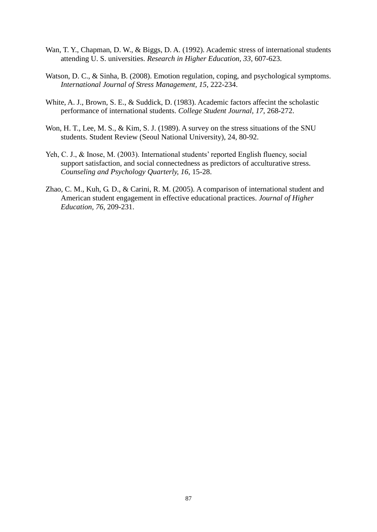- Wan, T. Y., Chapman, D. W., & Biggs, D. A. (1992). Academic stress of international students attending U. S. universities. *Research in Higher Education, 33*, 607-623.
- Watson, D. C., & Sinha, B. (2008). Emotion regulation, coping, and psychological symptoms. *International Journal of Stress Management, 15*, 222-234.
- White, A. J., Brown, S. E., & Suddick, D. (1983). Academic factors affecint the scholastic performance of international students. *College Student Journal, 17*, 268-272.
- Won, H. T., Lee, M. S., & Kim, S. J. (1989). A survey on the stress situations of the SNU students. Student Review (Seoul National University), 24, 80-92.
- Yeh, C. J., & Inose, M. (2003). International students' reported English fluency, social support satisfaction, and social connectedness as predictors of acculturative stress. *Counseling and Psychology Quarterly, 16*, 15-28.
- Zhao, C. M., Kuh, G. D., & Carini, R. M. (2005). A comparison of international student and American student engagement in effective educational practices. *Journal of Higher Education, 76*, 209-231.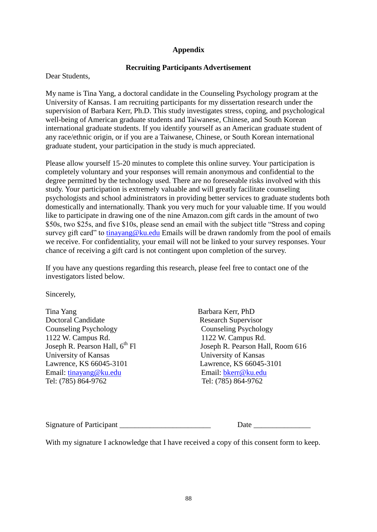# **Appendix**

## **Recruiting Participants Advertisement**

Dear Students,

My name is Tina Yang, a doctoral candidate in the Counseling Psychology program at the University of Kansas. I am recruiting participants for my dissertation research under the supervision of Barbara Kerr, Ph.D. This study investigates stress, coping, and psychological well-being of American graduate students and Taiwanese, Chinese, and South Korean international graduate students. If you identify yourself as an American graduate student of any race/ethnic origin, or if you are a Taiwanese, Chinese, or South Korean international graduate student, your participation in the study is much appreciated.

Please allow yourself 15-20 minutes to complete this online survey. Your participation is completely voluntary and your responses will remain anonymous and confidential to the degree permitted by the technology used. There are no foreseeable risks involved with this study. Your participation is extremely valuable and will greatly facilitate counseling psychologists and school administrators in providing better services to graduate students both domestically and internationally. Thank you very much for your valuable time. If you would like to participate in drawing one of the nine Amazon.com gift cards in the amount of two \$50s, two \$25s, and five \$10s, please send an email with the subject title "Stress and coping survey gift card" to [tinayang@ku.edu](mailto:tinayang@ku.edu) Emails will be drawn randomly from the pool of emails we receive. For confidentiality, your email will not be linked to your survey responses. Your chance of receiving a gift card is not contingent upon completion of the survey.

If you have any questions regarding this research, please feel free to contact one of the investigators listed below.

Sincerely,

Tina Yang Barbara Kerr, PhD Doctoral Candidate Research Supervisor Counseling Psychology Counseling Psychology 1122 W. Campus Rd. 1122 W. Campus Rd. University of Kansas University of Kansas Lawrence, KS 66045-3101 Lawrence, KS 66045-3101 Email: [tinayang@ku.edu](mailto:tinayang@ku.edu) Email: [bkerr@ku.edu](mailto:bkerr@ku.edu) Tel: (785) 864-9762 Tel: (785) 864-9762

Joseph R. Pearson Hall,  $6^{th}$  Fl Joseph R. Pearson Hall, Room 616

| <b>Signature of Participant</b> | Date |  |
|---------------------------------|------|--|
|                                 |      |  |

With my signature I acknowledge that I have received a copy of this consent form to keep.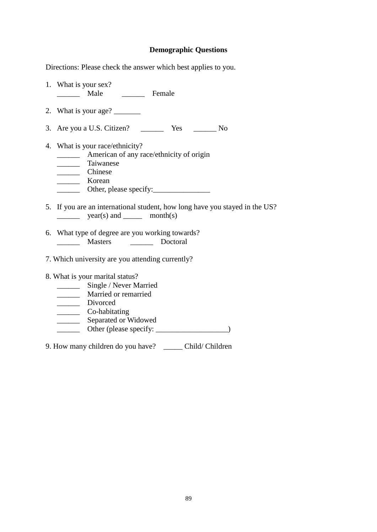## **Demographic Questions**

Directions: Please check the answer which best applies to you.

- 1. What is your sex? \_\_\_\_\_\_ Male \_\_\_\_\_\_ Female
- 2. What is your age?
- 3. Are you a U.S. Citizen? \_\_\_\_\_\_ Yes \_\_\_\_\_\_ No
- 4. What is your race/ethnicity?
	- **Example 3** American of any race/ethnicity of origin
	- \_\_\_\_\_\_ Taiwanese
	- \_\_\_\_\_\_ Chinese
	- \_\_\_\_\_\_ Korean
	- \_\_\_\_\_\_ Other, please specify:\_\_\_\_\_\_\_\_\_\_\_\_\_\_\_
- 5. If you are an international student, how long have you stayed in the US?  $\frac{\text{year}(s)}{\text{and}}$  month(s)
- 6. What type of degree are you working towards? Doctoral
- 7. Which university are you attending currently?
- 8. What is your marital status?
	- \_\_\_\_\_\_\_\_\_\_ Single / Never Married
	- **Married or remarried**
	- \_\_\_\_\_\_ Divorced
	- \_\_\_\_\_\_ Co-habitating
	- \_\_\_\_\_\_\_\_ Separated or Widowed
	- \_\_\_\_\_\_ Other (please specify: \_\_\_\_\_\_\_\_\_\_\_\_\_\_\_\_\_\_\_)
- 9. How many children do you have? \_\_\_\_\_ Child/ Children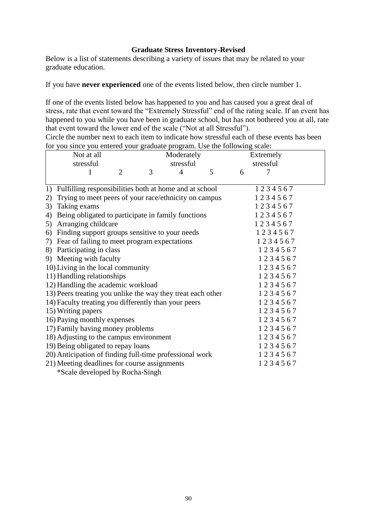# **Graduate Stress Inventory-Revised**

Below is a list of statements describing a variety of issues that may be related to your graduate education.

If you have **never experienced** one of the events listed below, then circle number 1.

If one of the events listed below has happened to you and has caused you a great deal of stress, rate that event toward the "Extremely Stressful" end of the rating scale. If an event has happened to you while you have been in graduate school, but has not bothered you at all, rate that event toward the lower end of the scale ("Not at all Stressful").

Circle the number next to each item to indicate how stressful each of these events has been for you since you entered your graduate program. Use the following scale:

|                                                             | Not at all                                                |   |           | Moderately |         |           | Extremely |         |  |
|-------------------------------------------------------------|-----------------------------------------------------------|---|-----------|------------|---------|-----------|-----------|---------|--|
|                                                             | stressful                                                 |   | stressful |            |         | stressful |           |         |  |
|                                                             | 1                                                         | 2 | 3         | 4          | 5       | 6         |           | 7       |  |
|                                                             |                                                           |   |           |            |         |           |           |         |  |
|                                                             | 1) Fulfilling responsibilities both at home and at school |   |           |            |         |           |           | 1234567 |  |
| 2)                                                          | Trying to meet peers of your race/ethnicity on campus     |   |           |            |         |           |           | 1234567 |  |
| 3)                                                          | Taking exams                                              |   |           |            |         |           |           | 1234567 |  |
| 4)                                                          | Being obligated to participate in family functions        |   |           |            |         | 1234567   |           |         |  |
|                                                             | 5) Arranging childcare                                    |   |           |            |         |           | 1234567   |         |  |
|                                                             | 6) Finding support groups sensitive to your needs         |   |           |            |         | 1234567   |           |         |  |
|                                                             | 7) Fear of failing to meet program expectations           |   |           |            |         | 1234567   |           |         |  |
|                                                             | 8) Participating in class                                 |   |           |            |         |           |           | 1234567 |  |
|                                                             | 9) Meeting with faculty                                   |   |           |            |         |           |           | 1234567 |  |
| 10) Living in the local community                           |                                                           |   |           |            |         | 1234567   |           |         |  |
| 11) Handling relationships                                  |                                                           |   |           |            | 1234567 |           |           |         |  |
| 12) Handling the academic workload                          |                                                           |   |           |            | 1234567 |           |           |         |  |
| 13) Peers treating you unlike the way they treat each other |                                                           |   |           |            | 1234567 |           |           |         |  |
|                                                             | 14) Faculty treating you differently than your peers      |   |           |            |         |           |           | 1234567 |  |
|                                                             | 15) Writing papers                                        |   |           |            |         |           |           | 1234567 |  |
|                                                             | 16) Paying monthly expenses                               |   |           |            |         |           |           | 1234567 |  |
|                                                             | 17) Family having money problems                          |   |           |            |         |           |           | 1234567 |  |
|                                                             | 18) Adjusting to the campus environment                   |   |           |            |         |           |           | 1234567 |  |
|                                                             | 19) Being obligated to repay loans                        |   |           |            |         |           |           | 1234567 |  |
|                                                             | 20) Anticipation of finding full-time professional work   |   |           |            |         |           |           | 1234567 |  |
|                                                             | 21) Meeting deadlines for course assignments              |   |           |            |         |           |           | 1234567 |  |
|                                                             | *Scale developed by Rocha-Singh                           |   |           |            |         |           |           |         |  |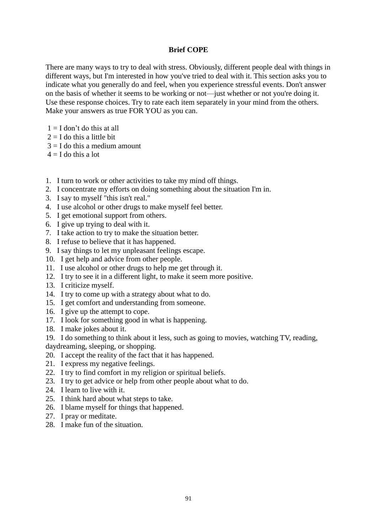# **Brief COPE**

There are many ways to try to deal with stress. Obviously, different people deal with things in different ways, but I'm interested in how you've tried to deal with it. This section asks you to indicate what you generally do and feel, when you experience stressful events. Don't answer on the basis of whether it seems to be working or not—just whether or not you're doing it. Use these response choices. Try to rate each item separately in your mind from the others. Make your answers as true FOR YOU as you can.

- $1 = I$  don't do this at all
- $2 = I$  do this a little bit
- $3 = I$  do this a medium amount
- $4 = I$  do this a lot
- 1. I turn to work or other activities to take my mind off things.
- 2. I concentrate my efforts on doing something about the situation I'm in.
- 3. I say to myself "this isn't real."
- 4. I use alcohol or other drugs to make myself feel better.
- 5. I get emotional support from others.
- 6. I give up trying to deal with it.
- 7. I take action to try to make the situation better.
- 8. I refuse to believe that it has happened.
- 9. I say things to let my unpleasant feelings escape.
- 10. I get help and advice from other people.
- 11. I use alcohol or other drugs to help me get through it.
- 12. I try to see it in a different light, to make it seem more positive.
- 13. I criticize myself.
- 14. I try to come up with a strategy about what to do.
- 15. I get comfort and understanding from someone.
- 16. I give up the attempt to cope.
- 17. I look for something good in what is happening.
- 18. I make jokes about it.
- 19. I do something to think about it less, such as going to movies, watching TV, reading, daydreaming, sleeping, or shopping.
- 20. I accept the reality of the fact that it has happened.
- 21. I express my negative feelings.
- 22. I try to find comfort in my religion or spiritual beliefs.
- 23. I try to get advice or help from other people about what to do.
- 24. I learn to live with it.
- 25. I think hard about what steps to take.
- 26. I blame myself for things that happened.
- 27. I pray or meditate.
- 28. I make fun of the situation.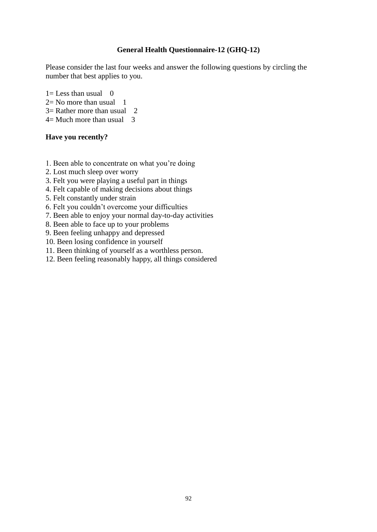# **General Health Questionnaire-12 (GHQ-12)**

Please consider the last four weeks and answer the following questions by circling the number that best applies to you.

 $1=$  Less than usual 0

 $2=$  No more than usual 1

 $3=$  Rather more than usual 2

 $4=$  Much more than usual 3

## **Have you recently?**

1. Been able to concentrate on what you're doing

- 2. Lost much sleep over worry
- 3. Felt you were playing a useful part in things
- 4. Felt capable of making decisions about things
- 5. Felt constantly under strain
- 6. Felt you couldn't overcome your difficulties
- 7. Been able to enjoy your normal day-to-day activities
- 8. Been able to face up to your problems
- 9. Been feeling unhappy and depressed
- 10. Been losing confidence in yourself
- 11. Been thinking of yourself as a worthless person.
- 12. Been feeling reasonably happy, all things considered